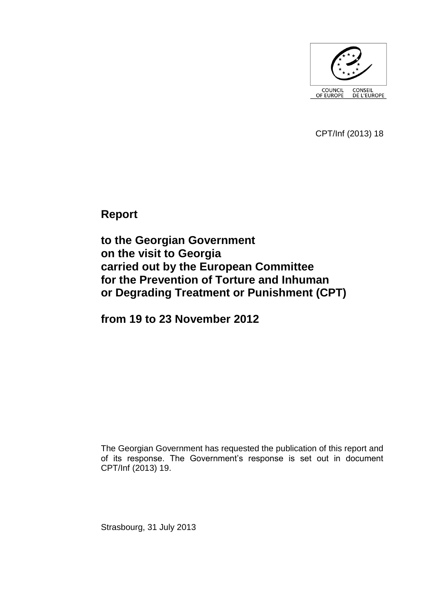

CPT/Inf (2013) 18

**Report** 

**to the Georgian Government on the visit to Georgia carried out by the European Committee for the Prevention of Torture and Inhuman or Degrading Treatment or Punishment (CPT)**

**from 19 to 23 November 2012**

The Georgian Government has requested the publication of this report and of its response. The Government's response is set out in document CPT/Inf (2013) 19.

Strasbourg, 31 July 2013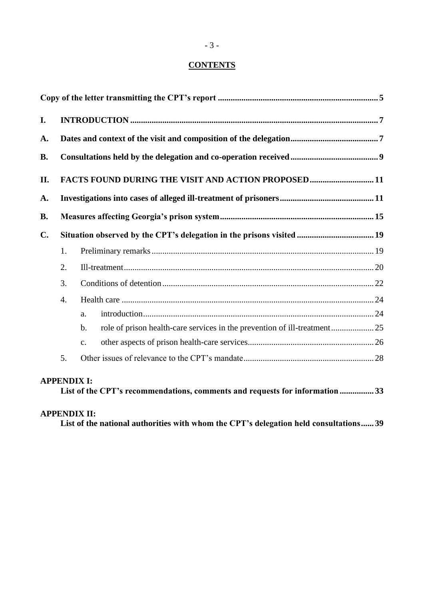# **CONTENTS**

| I.             |                                                                       |                                                                                            |  |  |  |
|----------------|-----------------------------------------------------------------------|--------------------------------------------------------------------------------------------|--|--|--|
| A.             | FACTS FOUND DURING THE VISIT AND ACTION PROPOSED11                    |                                                                                            |  |  |  |
| <b>B.</b>      |                                                                       |                                                                                            |  |  |  |
| II.            |                                                                       |                                                                                            |  |  |  |
| A.             |                                                                       |                                                                                            |  |  |  |
| <b>B.</b>      |                                                                       |                                                                                            |  |  |  |
| $\mathbf{C}$ . | Situation observed by the CPT's delegation in the prisons visited  19 |                                                                                            |  |  |  |
|                | 1.                                                                    |                                                                                            |  |  |  |
|                | 2.                                                                    |                                                                                            |  |  |  |
|                | 3.                                                                    |                                                                                            |  |  |  |
|                | $\overline{4}$ .                                                      |                                                                                            |  |  |  |
|                |                                                                       | a.                                                                                         |  |  |  |
|                |                                                                       | role of prison health-care services in the prevention of ill-treatment25<br>$\mathbf{b}$ . |  |  |  |
|                |                                                                       | $\mathbf{C}$ .                                                                             |  |  |  |
|                | 5.                                                                    |                                                                                            |  |  |  |

# **[APPENDIX I:](#page-32-0)**

|  | List of the CPT's recommendations, comments and requests for information33 |
|--|----------------------------------------------------------------------------|
|--|----------------------------------------------------------------------------|

# **[APPENDIX II:](#page-38-0)**

**List of the national authorities [with whom the CPT's delegation held consultations](#page-38-0)...... 39**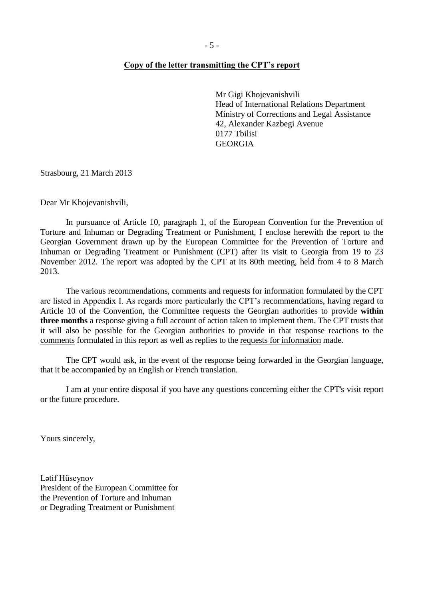#### <span id="page-4-0"></span>**Copy of the letter transmitting the CPT's report**

Mr Gigi Khojevanishvili Head of International Relations Department Ministry of Corrections and Legal Assistance 42, Alexander Kazbegi Avenue 0177 Tbilisi GEORGIA

Strasbourg, 21 March 2013

Dear Mr Khojevanishvili,

In pursuance of Article 10, paragraph 1, of the European Convention for the Prevention of Torture and Inhuman or Degrading Treatment or Punishment, I enclose herewith the report to the Georgian Government drawn up by the European Committee for the Prevention of Torture and Inhuman or Degrading Treatment or Punishment (CPT) after its visit to Georgia from 19 to 23 November 2012. The report was adopted by the CPT at its 80th meeting, held from 4 to 8 March 2013.

The various recommendations, comments and requests for information formulated by the CPT are listed in Appendix I. As regards more particularly the CPT's recommendations, having regard to Article 10 of the Convention, the Committee requests the Georgian authorities to provide **within three months** a response giving a full account of action taken to implement them. The CPT trusts that it will also be possible for the Georgian authorities to provide in that response reactions to the comments formulated in this report as well as replies to the requests for information made.

The CPT would ask, in the event of the response being forwarded in the Georgian language, that it be accompanied by an English or French translation.

I am at your entire disposal if you have any questions concerning either the CPT's visit report or the future procedure.

Yours sincerely,

Lətif Hüseynov President of the European Committee for the Prevention of Torture and Inhuman or Degrading Treatment or Punishment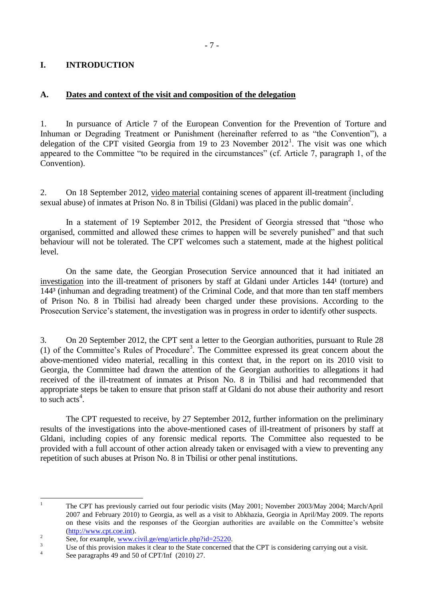## <span id="page-6-0"></span>**I. INTRODUCTION**

## <span id="page-6-1"></span>**A. Dates and context of the visit and composition of the delegation**

1. In pursuance of Article 7 of the European Convention for the Prevention of Torture and Inhuman or Degrading Treatment or Punishment (hereinafter referred to as "the Convention"), a delegation of the CPT visited Georgia from 19 to  $23$  November  $2012<sup>1</sup>$ . The visit was one which appeared to the Committee "to be required in the circumstances" (cf. Article 7, paragraph 1, of the Convention).

2. On 18 September 2012, video material containing scenes of apparent ill-treatment (including sexual abuse) of inmates at Prison No. 8 in Tbilisi (Gldani) was placed in the public domain<sup>2</sup>.

In a statement of 19 September 2012, the President of Georgia stressed that "those who organised, committed and allowed these crimes to happen will be severely punished" and that such behaviour will not be tolerated. The CPT welcomes such a statement, made at the highest political level.

On the same date, the Georgian Prosecution Service announced that it had initiated an investigation into the ill-treatment of prisoners by staff at Gldani under Articles 144<sup>1</sup> (torture) and 144³ (inhuman and degrading treatment) of the Criminal Code, and that more than ten staff members of Prison No. 8 in Tbilisi had already been charged under these provisions. According to the Prosecution Service's statement, the investigation was in progress in order to identify other suspects.

3. On 20 September 2012, the CPT sent a letter to the Georgian authorities, pursuant to Rule 28 (1) of the Committee's Rules of Procedure<sup>3</sup>. The Committee expressed its great concern about the above-mentioned video material, recalling in this context that, in the report on its 2010 visit to Georgia, the Committee had drawn the attention of the Georgian authorities to allegations it had received of the ill-treatment of inmates at Prison No. 8 in Tbilisi and had recommended that appropriate steps be taken to ensure that prison staff at Gldani do not abuse their authority and resort to such  $\arctan^4$ .

The CPT requested to receive, by 27 September 2012, further information on the preliminary results of the investigations into the above-mentioned cases of ill-treatment of prisoners by staff at Gldani, including copies of any forensic medical reports. The Committee also requested to be provided with a full account of other action already taken or envisaged with a view to preventing any repetition of such abuses at Prison No. 8 in Tbilisi or other penal institutions.

 $\mathbf{1}$ <sup>1</sup> The CPT has previously carried out four periodic visits (May 2001; November 2003/May 2004; March/April 2007 and February 2010) to Georgia, as well as a visit to Abkhazia, Georgia in April/May 2009. The reports on these visits and the responses of the Georgian authorities are available on the Committee's website [\(http://www.cpt.coe.int\)](http://www.cpt.coe.int/).

 $\overline{2}$ See, for example, www.civil.ge/eng/article.php?id=25220.

<sup>&</sup>lt;sup>3</sup><br><sup>3</sup> Use of this provision makes it clear to the State concerned that the CPT is considering carrying out a visit. 4

See paragraphs 49 and 50 of CPT/Inf (2010) 27.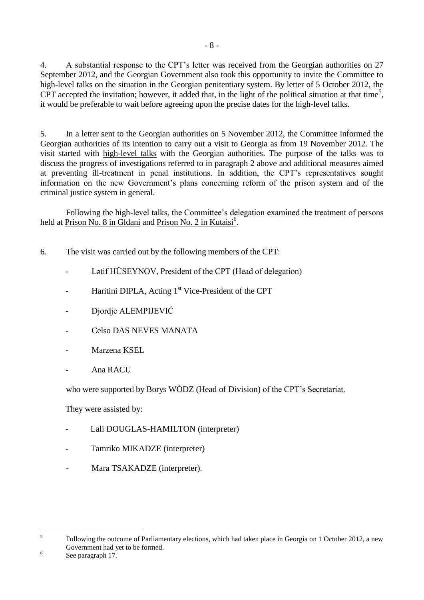4. A substantial response to the CPT's letter was received from the Georgian authorities on 27 September 2012, and the Georgian Government also took this opportunity to invite the Committee to high-level talks on the situation in the Georgian penitentiary system. By letter of 5 October 2012, the CPT accepted the invitation; however, it added that, in the light of the political situation at that time<sup>5</sup>, it would be preferable to wait before agreeing upon the precise dates for the high-level talks.

5. In a letter sent to the Georgian authorities on 5 November 2012, the Committee informed the Georgian authorities of its intention to carry out a visit to Georgia as from 19 November 2012. The visit started with high-level talks with the Georgian authorities. The purpose of the talks was to discuss the progress of investigations referred to in paragraph 2 above and additional measures aimed at preventing ill-treatment in penal institutions. In addition, the CPT's representatives sought information on the new Government's plans concerning reform of the prison system and of the criminal justice system in general.

Following the high-level talks, the Committee's delegation examined the treatment of persons held at Prison No. 8 in Gldani and Prison No. 2 in Kutaisi<sup>6</sup>.

- 6. The visit was carried out by the following members of the CPT:
	- Latif HÜSEYNOV, President of the CPT (Head of delegation)
	- Haritini DIPLA, Acting  $1<sup>st</sup>$  Vice-President of the CPT
	- Djordje ALEMPIJEVIĆ
	- Celso DAS NEVES MANATA
	- Marzena KSEL
	- Ana RACU

who were supported by Borys WÒDZ (Head of Division) of the CPT's Secretariat.

They were assisted by:

- Lali DOUGLAS-HAMILTON (interpreter)
- Tamriko MIKADZE (interpreter)
- Mara TSAKADZE (interpreter).

 $\frac{1}{5}$ Following the outcome of Parliamentary elections, which had taken place in Georgia on 1 October 2012, a new Government had yet to be formed.

6 See paragraph 17.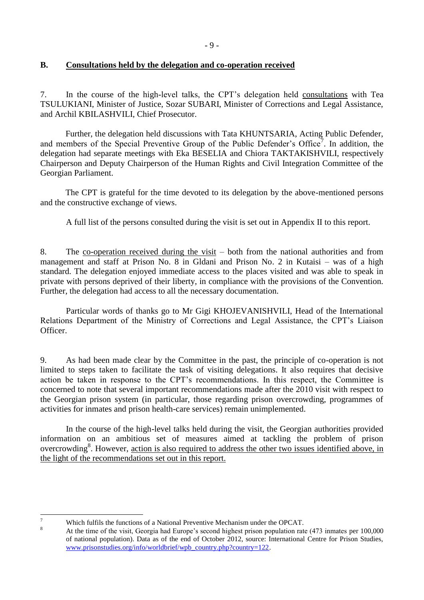## <span id="page-8-0"></span>**B. Consultations held by the delegation and co-operation received**

7. In the course of the high-level talks, the CPT's delegation held consultations with Tea TSULUKIANI, Minister of Justice, Sozar SUBARI, Minister of Corrections and Legal Assistance, and Archil KBILASHVILI, Chief Prosecutor.

Further, the delegation held discussions with Tata KHUNTSARIA, Acting Public Defender, and members of the Special Preventive Group of the Public Defender's Office<sup>7</sup>. In addition, the delegation had separate meetings with Eka BESELIA and Chiora TAKTAKISHVILI, respectively Chairperson and Deputy Chairperson of the Human Rights and Civil Integration Committee of the Georgian Parliament.

The CPT is grateful for the time devoted to its delegation by the above-mentioned persons and the constructive exchange of views.

A full list of the persons consulted during the visit is set out in Appendix II to this report.

8. The co-operation received during the visit – both from the national authorities and from management and staff at Prison No. 8 in Gldani and Prison No. 2 in Kutaisi – was of a high standard. The delegation enjoyed immediate access to the places visited and was able to speak in private with persons deprived of their liberty, in compliance with the provisions of the Convention. Further, the delegation had access to all the necessary documentation.

Particular words of thanks go to Mr Gigi KHOJEVANISHVILI, Head of the International Relations Department of the Ministry of Corrections and Legal Assistance, the CPT's Liaison Officer.

9. As had been made clear by the Committee in the past, the principle of co-operation is not limited to steps taken to facilitate the task of visiting delegations. It also requires that decisive action be taken in response to the CPT's recommendations. In this respect, the Committee is concerned to note that several important recommendations made after the 2010 visit with respect to the Georgian prison system (in particular, those regarding prison overcrowding, programmes of activities for inmates and prison health-care services) remain unimplemented.

In the course of the high-level talks held during the visit, the Georgian authorities provided information on an ambitious set of measures aimed at tackling the problem of prison overcrowding<sup>8</sup>. However, action is also required to address the other two issues identified above, in the light of the recommendations set out in this report.

 $\tau$ <sup>7</sup> Which fulfils the functions of a National Preventive Mechanism under the OPCAT.

<sup>8</sup> At the time of the visit, Georgia had Europe's second highest prison population rate (473 inmates per 100,000 of national population). Data as of the end of October 2012, source: International Centre for Prison Studies, [www.prisonstudies.org/info/worldbrief/wpb\\_country.php?country=122.](http://www.prisonstudies.org/info/worldbrief/wpb_country.php?country=122)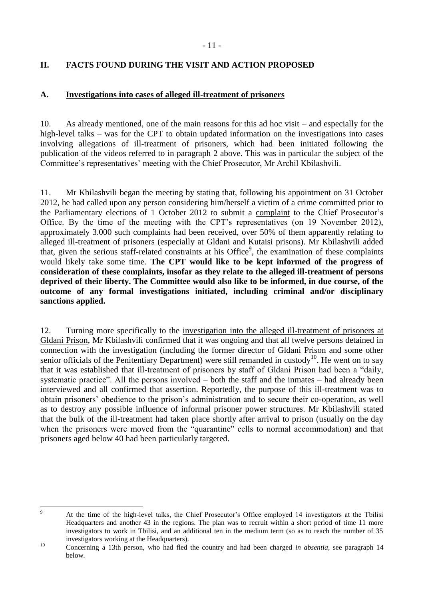## <span id="page-10-0"></span>**II. FACTS FOUND DURING THE VISIT AND ACTION PROPOSED**

## <span id="page-10-1"></span>**A. Investigations into cases of alleged ill-treatment of prisoners**

10. As already mentioned, one of the main reasons for this ad hoc visit – and especially for the high-level talks – was for the CPT to obtain updated information on the investigations into cases involving allegations of ill-treatment of prisoners, which had been initiated following the publication of the videos referred to in paragraph 2 above. This was in particular the subject of the Committee's representatives' meeting with the Chief Prosecutor, Mr Archil Kbilashvili.

11. Mr Kbilashvili began the meeting by stating that, following his appointment on 31 October 2012, he had called upon any person considering him/herself a victim of a crime committed prior to the Parliamentary elections of 1 October 2012 to submit a complaint to the Chief Prosecutor's Office. By the time of the meeting with the CPT's representatives (on 19 November 2012), approximately 3.000 such complaints had been received, over 50% of them apparently relating to alleged ill-treatment of prisoners (especially at Gldani and Kutaisi prisons). Mr Kbilashvili added that, given the serious staff-related constraints at his Office<sup>9</sup>, the examination of these complaints would likely take some time. **The CPT would like to be kept informed of the progress of consideration of these complaints, insofar as they relate to the alleged ill-treatment of persons deprived of their liberty. The Committee would also like to be informed, in due course, of the outcome of any formal investigations initiated, including criminal and/or disciplinary sanctions applied.**

12. Turning more specifically to the investigation into the alleged ill-treatment of prisoners at Gldani Prison, Mr Kbilashvili confirmed that it was ongoing and that all twelve persons detained in connection with the investigation (including the former director of Gldani Prison and some other senior officials of the Penitentiary Department) were still remanded in custody<sup>10</sup>. He went on to say that it was established that ill-treatment of prisoners by staff of Gldani Prison had been a "daily, systematic practice". All the persons involved – both the staff and the inmates – had already been interviewed and all confirmed that assertion. Reportedly, the purpose of this ill-treatment was to obtain prisoners' obedience to the prison's administration and to secure their co-operation, as well as to destroy any possible influence of informal prisoner power structures. Mr Kbilashvili stated that the bulk of the ill-treatment had taken place shortly after arrival to prison (usually on the day when the prisoners were moved from the "quarantine" cells to normal accommodation) and that prisoners aged below 40 had been particularly targeted.

 $\overline{9}$ <sup>9</sup> At the time of the high-level talks, the Chief Prosecutor's Office employed 14 investigators at the Tbilisi Headquarters and another 43 in the regions. The plan was to recruit within a short period of time 11 more investigators to work in Tbilisi, and an additional ten in the medium term (so as to reach the number of 35 investigators working at the Headquarters).

<sup>10</sup> Concerning a 13th person, who had fled the country and had been charged *in absentia*, see paragraph 14 below.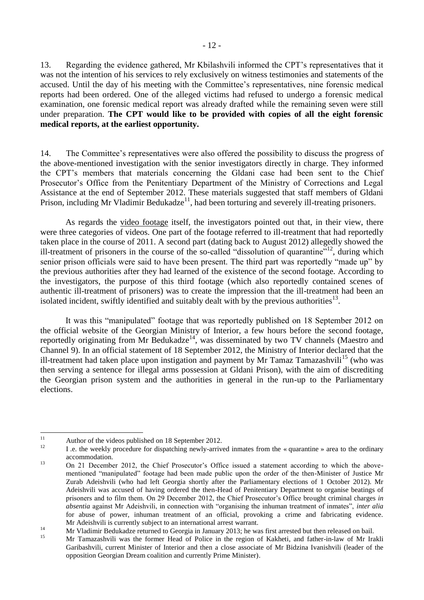13. Regarding the evidence gathered, Mr Kbilashvili informed the CPT's representatives that it was not the intention of his services to rely exclusively on witness testimonies and statements of the accused. Until the day of his meeting with the Committee's representatives, nine forensic medical reports had been ordered. One of the alleged victims had refused to undergo a forensic medical examination, one forensic medical report was already drafted while the remaining seven were still under preparation. **The CPT would like to be provided with copies of all the eight forensic medical reports, at the earliest opportunity.**

14. The Committee's representatives were also offered the possibility to discuss the progress of the above-mentioned investigation with the senior investigators directly in charge. They informed the CPT's members that materials concerning the Gldani case had been sent to the Chief Prosecutor's Office from the Penitentiary Department of the Ministry of Corrections and Legal Assistance at the end of September 2012. These materials suggested that staff members of Gldani Prison, including Mr Vladimir Bedukadze<sup>11</sup>, had been torturing and severely ill-treating prisoners.

As regards the video footage itself, the investigators pointed out that, in their view, there were three categories of videos. One part of the footage referred to ill-treatment that had reportedly taken place in the course of 2011. A second part (dating back to August 2012) allegedly showed the ill-treatment of prisoners in the course of the so-called "dissolution of quarantine"<sup>12</sup>, during which senior prison officials were said to have been present. The third part was reportedly "made up" by the previous authorities after they had learned of the existence of the second footage. According to the investigators, the purpose of this third footage (which also reportedly contained scenes of authentic ill-treatment of prisoners) was to create the impression that the ill-treatment had been an isolated incident, swiftly identified and suitably dealt with by the previous authorities<sup>13</sup>.

It was this "manipulated" footage that was reportedly published on 18 September 2012 on the official website of the Georgian Ministry of Interior, a few hours before the second footage, reportedly originating from Mr Bedukadze<sup>14</sup>, was disseminated by two TV channels (Maestro and Channel 9). In an official statement of 18 September 2012, the Ministry of Interior declared that the ill-treatment had taken place upon instigation and payment by Mr Tamaz Tamazashvili<sup>15</sup> (who was then serving a sentence for illegal arms possession at Gldani Prison), with the aim of discrediting the Georgian prison system and the authorities in general in the run-up to the Parliamentary elections.

 $11$ <sup>11</sup> Author of the videos published on 18 September 2012.

<sup>12</sup> I .e. the weekly procedure for dispatching newly-arrived inmates from the « quarantine » area to the ordinary accommodation.

<sup>&</sup>lt;sup>13</sup> On 21 December 2012, the Chief Prosecutor's Office issued a statement according to which the abovementioned "manipulated" footage had been made public upon the order of the then-Minister of Justice Mr Zurab Adeishvili (who had left Georgia shortly after the Parliamentary elections of 1 October 2012). Mr Adeishvili was accused of having ordered the then-Head of Penitentiary Department to organise beatings of prisoners and to film them. On 29 December 2012, the Chief Prosecutor's Office brought criminal charges *in absentia* against Mr Adeishvili, in connection with "organising the inhuman treatment of inmates", *inter alia* for abuse of power, inhuman treatment of an official, provoking a crime and fabricating evidence. Mr Adeishvili is currently subject to an international arrest warrant.

<sup>&</sup>lt;sup>14</sup> Mr Vladimir Bedukadze returned to Georgia in January 2013; he was first arrested but then released on bail.

<sup>15</sup> Mr Tamazashvili was the former Head of Police in the region of Kakheti, and father-in-law of Mr Irakli Garibashvili, current Minister of Interior and then a close associate of Mr Bidzina Ivanishvili (leader of the opposition Georgian Dream coalition and currently Prime Minister).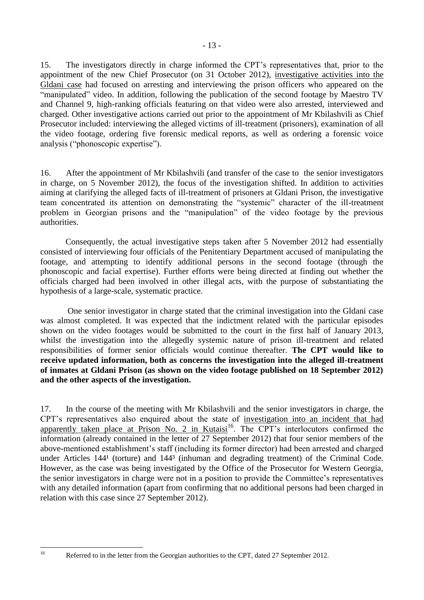15. The investigators directly in charge informed the CPT's representatives that, prior to the appointment of the new Chief Prosecutor (on 31 October 2012), investigative activities into the Gldani case had focused on arresting and interviewing the prison officers who appeared on the "manipulated" video. In addition, following the publication of the second footage by Maestro TV and Channel 9, high-ranking officials featuring on that video were also arrested, interviewed and charged. Other investigative actions carried out prior to the appointment of Mr Kbilashvili as Chief Prosecutor included: interviewing the alleged victims of ill-treatment (prisoners), examination of all the video footage, ordering five forensic medical reports, as well as ordering a forensic voice analysis ("phonoscopic expertise").

16. After the appointment of Mr Kbilashvili (and transfer of the case to the senior investigators in charge, on 5 November 2012), the focus of the investigation shifted. In addition to activities aiming at clarifying the alleged facts of ill-treatment of prisoners at Gldani Prison, the investigative team concentrated its attention on demonstrating the "systemic" character of the ill-treatment problem in Georgian prisons and the "manipulation" of the video footage by the previous authorities.

Consequently, the actual investigative steps taken after 5 November 2012 had essentially consisted of interviewing four officials of the Penitentiary Department accused of manipulating the footage, and attempting to identify additional persons in the second footage (through the phonoscopic and facial expertise). Further efforts were being directed at finding out whether the officials charged had been involved in other illegal acts, with the purpose of substantiating the hypothesis of a large-scale, systematic practice.

One senior investigator in charge stated that the criminal investigation into the Gldani case was almost completed. It was expected that the indictment related with the particular episodes shown on the video footages would be submitted to the court in the first half of January 2013, whilst the investigation into the allegedly systemic nature of prison ill-treatment and related responsibilities of former senior officials would continue thereafter. **The CPT would like to receive updated information, both as concerns the investigation into the alleged ill-treatment of inmates at Gldani Prison (as shown on the video footage published on 18 September 2012) and the other aspects of the investigation.** 

17. In the course of the meeting with Mr Kbilashvili and the senior investigators in charge, the CPT's representatives also enquired about the state of investigation into an incident that had apparently taken place at Prison No. 2 in Kutaisi<sup>16</sup>. The CPT's interlocutors confirmed the information (already contained in the letter of 27 September 2012) that four senior members of the above-mentioned establishment's staff (including its former director) had been arrested and charged under Articles 144<sup>1</sup> (torture) and 144<sup>3</sup> (inhuman and degrading treatment) of the Criminal Code. However, as the case was being investigated by the Office of the Prosecutor for Western Georgia, the senior investigators in charge were not in a position to provide the Committee's representatives with any detailed information (apart from confirming that no additional persons had been charged in relation with this case since 27 September 2012).

 $16$ 

Referred to in the letter from the Georgian authorities to the CPT, dated 27 September 2012.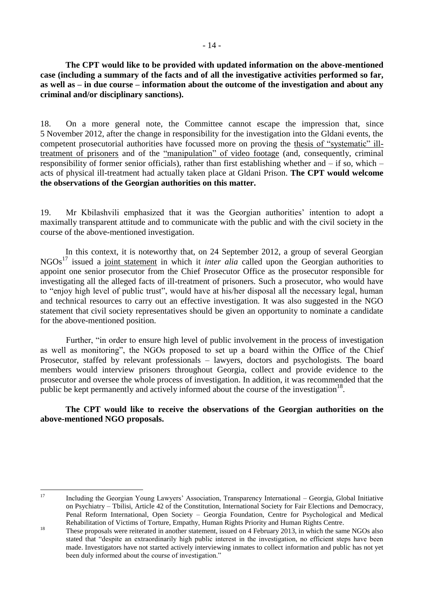**The CPT would like to be provided with updated information on the above-mentioned case (including a summary of the facts and of all the investigative activities performed so far, as well as – in due course – information about the outcome of the investigation and about any criminal and/or disciplinary sanctions).**

18. On a more general note, the Committee cannot escape the impression that, since 5 November 2012, after the change in responsibility for the investigation into the Gldani events, the competent prosecutorial authorities have focussed more on proving the thesis of "systematic" illtreatment of prisoners and of the "manipulation" of video footage (and, consequently, criminal responsibility of former senior officials), rather than first establishing whether and – if so, which – acts of physical ill-treatment had actually taken place at Gldani Prison. **The CPT would welcome the observations of the Georgian authorities on this matter.**

19. Mr Kbilashvili emphasized that it was the Georgian authorities' intention to adopt a maximally transparent attitude and to communicate with the public and with the civil society in the course of the above-mentioned investigation.

In this context, it is noteworthy that, on 24 September 2012, a group of several Georgian NGOs<sup>17</sup> issued a joint statement in which it *inter alia* called upon the Georgian authorities to appoint one senior prosecutor from the Chief Prosecutor Office as the prosecutor responsible for investigating all the alleged facts of ill-treatment of prisoners. Such a prosecutor, who would have to "enjoy high level of public trust", would have at his/her disposal all the necessary legal, human and technical resources to carry out an effective investigation. It was also suggested in the NGO statement that civil society representatives should be given an opportunity to nominate a candidate for the above-mentioned position.

Further, "in order to ensure high level of public involvement in the process of investigation as well as monitoring", the NGOs proposed to set up a board within the Office of the Chief Prosecutor, staffed by relevant professionals – lawyers, doctors and psychologists. The board members would interview prisoners throughout Georgia, collect and provide evidence to the prosecutor and oversee the whole process of investigation. In addition, it was recommended that the public be kept permanently and actively informed about the course of the investigation  $18$ .

**The CPT would like to receive the observations of the Georgian authorities on the above-mentioned NGO proposals.**

<sup>17</sup> 

<sup>17</sup> Including the Georgian Young Lawyers' Association, Transparency International – Georgia, Global Initiative on Psychiatry – Tbilisi, Article 42 of the Constitution, International Society for Fair Elections and Democracy, Penal Reform International, Open Society – Georgia Foundation, Centre for Psychological and Medical Rehabilitation of Victims of Torture, Empathy, Human Rights Priority and Human Rights Centre.

<sup>&</sup>lt;sup>18</sup><br>These proposals were reiterated in another statement, issued on 4 February 2013, in which the same NGOs also stated that "despite an extraordinarily high public interest in the investigation, no efficient steps have been made. Investigators have not started actively interviewing inmates to collect information and public has not yet been duly informed about the course of investigation."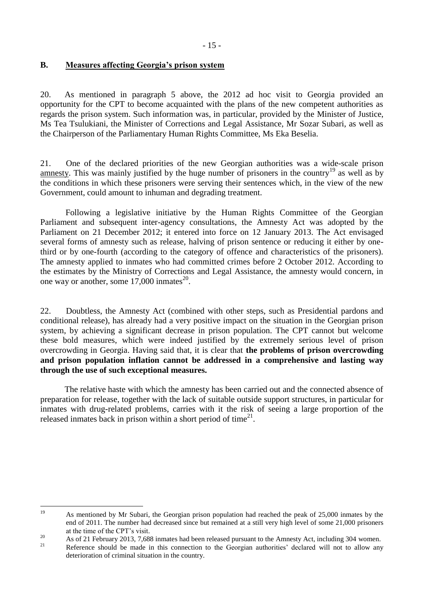## <span id="page-14-0"></span>**B. Measures affecting Georgia's prison system**

20. As mentioned in paragraph 5 above, the 2012 ad hoc visit to Georgia provided an opportunity for the CPT to become acquainted with the plans of the new competent authorities as regards the prison system. Such information was, in particular, provided by the Minister of Justice, Ms Tea Tsulukiani, the Minister of Corrections and Legal Assistance, Mr Sozar Subari, as well as the Chairperson of the Parliamentary Human Rights Committee, Ms Eka Beselia.

21. One of the declared priorities of the new Georgian authorities was a wide-scale prison amnesty. This was mainly justified by the huge number of prisoners in the country<sup>19</sup> as well as by the conditions in which these prisoners were serving their sentences which, in the view of the new Government, could amount to inhuman and degrading treatment.

Following a legislative initiative by the Human Rights Committee of the Georgian Parliament and subsequent inter-agency consultations, the Amnesty Act was adopted by the Parliament on 21 December 2012; it entered into force on 12 January 2013. The Act envisaged several forms of amnesty such as release, halving of prison sentence or reducing it either by onethird or by one-fourth (according to the category of offence and characteristics of the prisoners). The amnesty applied to inmates who had committed crimes before 2 October 2012. According to the estimates by the Ministry of Corrections and Legal Assistance, the amnesty would concern, in one way or another, some  $17,000$  inmates<sup>20</sup>.

22. Doubtless, the Amnesty Act (combined with other steps, such as Presidential pardons and conditional release), has already had a very positive impact on the situation in the Georgian prison system, by achieving a significant decrease in prison population. The CPT cannot but welcome these bold measures, which were indeed justified by the extremely serious level of prison overcrowding in Georgia. Having said that, it is clear that **the problems of prison overcrowding and prison population inflation cannot be addressed in a comprehensive and lasting way through the use of such exceptional measures.**

The relative haste with which the amnesty has been carried out and the connected absence of preparation for release, together with the lack of suitable outside support structures, in particular for inmates with drug-related problems, carries with it the risk of seeing a large proportion of the released inmates back in prison within a short period of time<sup>21</sup>.

<sup>19</sup> <sup>19</sup> As mentioned by Mr Subari, the Georgian prison population had reached the peak of 25,000 inmates by the end of 2011. The number had decreased since but remained at a still very high level of some 21,000 prisoners at the time of the CPT's visit.

<sup>&</sup>lt;sup>20</sup> As of 21 February 2013, 7,688 inmates had been released pursuant to the Amnesty Act, including 304 women.

Reference should be made in this connection to the Georgian authorities' declared will not to allow any deterioration of criminal situation in the country.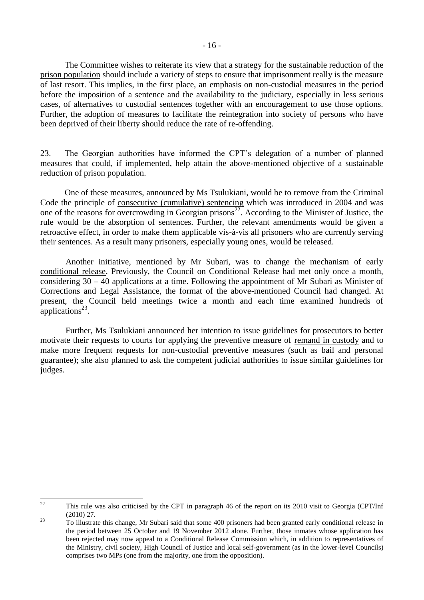The Committee wishes to reiterate its view that a strategy for the sustainable reduction of the prison population should include a variety of steps to ensure that imprisonment really is the measure of last resort. This implies, in the first place, an emphasis on non-custodial measures in the period before the imposition of a sentence and the availability to the judiciary, especially in less serious cases, of alternatives to custodial sentences together with an encouragement to use those options. Further, the adoption of measures to facilitate the reintegration into society of persons who have been deprived of their liberty should reduce the rate of re-offending.

23. The Georgian authorities have informed the CPT's delegation of a number of planned measures that could, if implemented, help attain the above-mentioned objective of a sustainable reduction of prison population.

One of these measures, announced by Ms Tsulukiani, would be to remove from the Criminal Code the principle of consecutive (cumulative) sentencing which was introduced in 2004 and was one of the reasons for overcrowding in Georgian prisons<sup>22</sup>. According to the Minister of Justice, the rule would be the absorption of sentences. Further, the relevant amendments would be given a retroactive effect, in order to make them applicable vis-à-vis all prisoners who are currently serving their sentences. As a result many prisoners, especially young ones, would be released.

Another initiative, mentioned by Mr Subari, was to change the mechanism of early conditional release. Previously, the Council on Conditional Release had met only once a month, considering 30 – 40 applications at a time. Following the appointment of Mr Subari as Minister of Corrections and Legal Assistance, the format of the above-mentioned Council had changed. At present, the Council held meetings twice a month and each time examined hundreds of applications $^{23}$ .

Further, Ms Tsulukiani announced her intention to issue guidelines for prosecutors to better motivate their requests to courts for applying the preventive measure of remand in custody and to make more frequent requests for non-custodial preventive measures (such as bail and personal guarantee); she also planned to ask the competent judicial authorities to issue similar guidelines for judges.

 $22$ <sup>22</sup> This rule was also criticised by the CPT in paragraph 46 of the report on its 2010 visit to Georgia (CPT/Inf (2010) 27.

<sup>&</sup>lt;sup>23</sup> To illustrate this change, Mr Subari said that some 400 prisoners had been granted early conditional release in the period between 25 October and 19 November 2012 alone. Further, those inmates whose application has been rejected may now appeal to a Conditional Release Commission which, in addition to representatives of the Ministry, civil society, High Council of Justice and local self-government (as in the lower-level Councils) comprises two MPs (one from the majority, one from the opposition).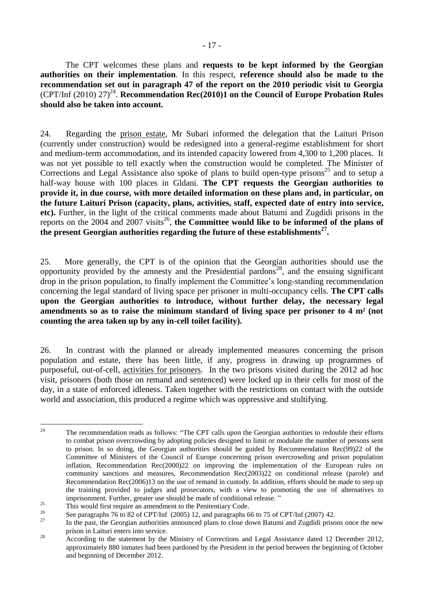The CPT welcomes these plans and **requests to be kept informed by the Georgian authorities on their implementation**. In this respect, **reference should also be made to the recommendation set out in paragraph 47 of the report on the 2010 periodic visit to Georgia**  (CPT/Inf (2010) 27)<sup>24</sup>. Recommendation Rec(2010)1 on the Council of Europe Probation Rules **should also be taken into account.**

24. Regarding the prison estate, Mr Subari informed the delegation that the Laituri Prison (currently under construction) would be redesigned into a general-regime establishment for short and medium-term accommodation, and its intended capacity lowered from 4,300 to 1,200 places. It was not yet possible to tell exactly when the construction would be completed. The Minister of Corrections and Legal Assistance also spoke of plans to build open-type prisons<sup>25</sup> and to setup a half-way house with 100 places in Gldani. **The CPT requests the Georgian authorities to provide it, in due course, with more detailed information on these plans and, in particular, on the future Laituri Prison (capacity, plans, activities, staff, expected date of entry into service, etc).** Further, in the light of the critical comments made about Batumi and Zugdidi prisons in the reports on the  $2004$  and  $2007$  visits<sup>26</sup>, the Committee would like to be informed of the plans of **the present Georgian authorities regarding the future of these establishments<sup>27</sup> .** 

25. More generally, the CPT is of the opinion that the Georgian authorities should use the opportunity provided by the amnesty and the Presidential pardons<sup>28</sup>, and the ensuing significant drop in the prison population, to finally implement the Committee's long-standing recommendation concerning the legal standard of living space per prisoner in multi-occupancy cells. **The CPT calls upon the Georgian authorities to introduce, without further delay, the necessary legal amendments so as to raise the minimum standard of living space per prisoner to 4 m² (not counting the area taken up by any in-cell toilet facility).**

26. In contrast with the planned or already implemented measures concerning the prison population and estate, there has been little, if any, progress in drawing up programmes of purposeful, out-of-cell, activities for prisoners. In the two prisons visited during the 2012 ad hoc visit, prisoners (both those on remand and sentenced) were locked up in their cells for most of the day, in a state of enforced idleness. Taken together with the restrictions on contact with the outside world and association, this produced a regime which was oppressive and stultifying.

<sup>24</sup> The recommendation reads as follows: "The CPT calls upon the Georgian authorities to redouble their efforts to combat prison overcrowding by adopting policies designed to limit or modulate the number of persons sent to prison. In so doing, the Georgian authorities should be guided by Recommendation  $\text{Rec}(99)$  22 of the Committee of Ministers of the Council of Europe concerning prison overcrowding and prison population inflation, Recommendation Rec(2000)22 on improving the implementation of the European rules on community sanctions and measures, Recommendation Rec(2003)22 on conditional release (parole) and Recommendation Rec(2006)13 on the use of remand in custody. In addition, efforts should be made to step up the training provided to judges and prosecutors, with a view to promoting the use of alternatives to imprisonment. Further, greater use should be made of conditional release. "

<sup>&</sup>lt;sup>25</sup><br>This would first require an amendment to the Penitentiary Code.

<sup>&</sup>lt;sup>26</sup> See paragraphs 76 to 82 of CPT/Inf (2005) 12, and paragraphs 66 to 75 of CPT/Inf (2007) 42.

<sup>27</sup> In the past, the Georgian authorities announced plans to close down Batumi and Zugdidi prisons once the new prison in Laituri enters into service.

<sup>&</sup>lt;sup>28</sup> According to the statement by the Ministry of Corrections and Legal Assistance dated 12 December 2012, approximately 880 inmates had been pardoned by the President in the period between the beginning of October and beginning of December 2012.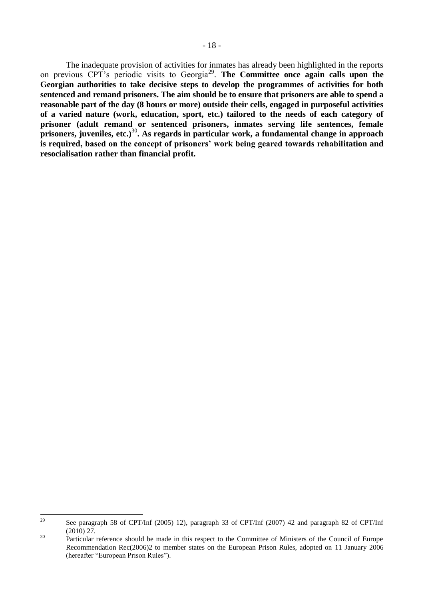The inadequate provision of activities for inmates has already been highlighted in the reports on previous CPT's periodic visits to Georgia<sup>29</sup>. The Committee once again calls upon the **Georgian authorities to take decisive steps to develop the programmes of activities for both sentenced and remand prisoners. The aim should be to ensure that prisoners are able to spend a reasonable part of the day (8 hours or more) outside their cells, engaged in purposeful activities of a varied nature (work, education, sport, etc.) tailored to the needs of each category of prisoner (adult remand or sentenced prisoners, inmates serving life sentences, female prisoners, juveniles, etc.)**<sup>30</sup>**. As regards in particular work, a fundamental change in approach is required, based on the concept of prisoners' work being geared towards rehabilitation and resocialisation rather than financial profit.**

<sup>29</sup> <sup>29</sup> See paragraph 58 of CPT/Inf (2005) 12), paragraph 33 of CPT/Inf (2007) 42 and paragraph 82 of CPT/Inf (2010) 27.

<sup>&</sup>lt;sup>30</sup> Particular reference should be made in this respect to the Committee of Ministers of the Council of Europe Recommendation Rec(2006)2 to member states on the European Prison Rules, adopted on 11 January 2006 (hereafter "European Prison Rules").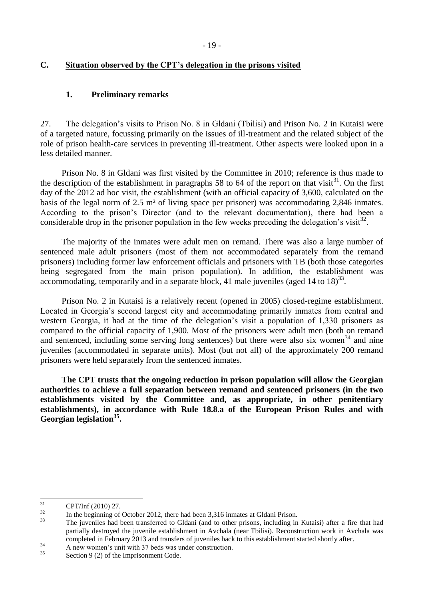## <span id="page-18-0"></span>**C. Situation observed by the CPT's delegation in the prisons visited**

## <span id="page-18-1"></span>**1. Preliminary remarks**

27. The delegation's visits to Prison No. 8 in Gldani (Tbilisi) and Prison No. 2 in Kutaisi were of a targeted nature, focussing primarily on the issues of ill-treatment and the related subject of the role of prison health-care services in preventing ill-treatment. Other aspects were looked upon in a less detailed manner.

Prison No. 8 in Gldani was first visited by the Committee in 2010; reference is thus made to the description of the establishment in paragraphs 58 to 64 of the report on that visit<sup>31</sup>. On the first day of the 2012 ad hoc visit, the establishment (with an official capacity of 3,600, calculated on the basis of the legal norm of 2.5 m² of living space per prisoner) was accommodating 2,846 inmates. According to the prison's Director (and to the relevant documentation), there had been a considerable drop in the prisoner population in the few weeks preceding the delegation's visit<sup>32</sup>.

The majority of the inmates were adult men on remand. There was also a large number of sentenced male adult prisoners (most of them not accommodated separately from the remand prisoners) including former law enforcement officials and prisoners with TB (both those categories being segregated from the main prison population). In addition, the establishment was accommodating, temporarily and in a separate block, 41 male juveniles (aged 14 to  $18<sup>33</sup>$ ).

Prison No. 2 in Kutaisi is a relatively recent (opened in 2005) closed-regime establishment. Located in Georgia's second largest city and accommodating primarily inmates from central and western Georgia, it had at the time of the delegation's visit a population of 1,330 prisoners as compared to the official capacity of 1,900. Most of the prisoners were adult men (both on remand and sentenced, including some serving long sentences) but there were also six women<sup>34</sup> and nine juveniles (accommodated in separate units). Most (but not all) of the approximately 200 remand prisoners were held separately from the sentenced inmates.

<span id="page-18-2"></span>**The CPT trusts that the ongoing reduction in prison population will allow the Georgian authorities to achieve a full separation between remand and sentenced prisoners (in the two establishments visited by the Committee and, as appropriate, in other penitentiary establishments), in accordance with Rule 18.8.a of the European Prison Rules and with Georgian legislation<sup>35</sup> .** 

<sup>31</sup>  ${{\rm CPT/Inf}\ (2010)\ 27.}$ 

 $\frac{32}{33}$  In the beginning of October 2012, there had been 3,316 inmates at Gldani Prison.

<sup>33</sup> The juveniles had been transferred to Gldani (and to other prisons, including in Kutaisi) after a fire that had partially destroyed the juvenile establishment in Avchala (near Tbilisi). Reconstruction work in Avchala was completed in February 2013 and transfers of juveniles back to this establishment started shortly after.

 $\frac{34}{35}$  A new women's unit with 37 beds was under construction.

Section 9 (2) of the Imprisonment Code.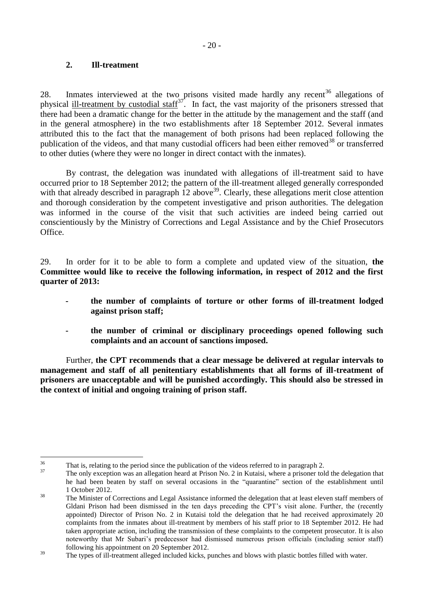### **2. Ill-treatment**

28. Inmates interviewed at the two prisons visited made hardly any recent<sup>36</sup> allegations of physical ill-treatment by custodial staff<sup>37</sup>. In fact, the vast majority of the prisoners stressed that there had been a dramatic change for the better in the attitude by the management and the staff (and in the general atmosphere) in the two establishments after 18 September 2012. Several inmates attributed this to the fact that the management of both prisons had been replaced following the publication of the videos, and that many custodial officers had been either removed<sup>38</sup> or transferred to other duties (where they were no longer in direct contact with the inmates).

By contrast, the delegation was inundated with allegations of ill-treatment said to have occurred prior to 18 September 2012; the pattern of the ill-treatment alleged generally corresponded with that already described in paragraph  $12$  above  $39$ . Clearly, these allegations merit close attention and thorough consideration by the competent investigative and prison authorities. The delegation was informed in the course of the visit that such activities are indeed being carried out conscientiously by the Ministry of Corrections and Legal Assistance and by the Chief Prosecutors Office.

29. In order for it to be able to form a complete and updated view of the situation, **the Committee would like to receive the following information, in respect of 2012 and the first quarter of 2013:**

- **- the number of complaints of torture or other forms of ill-treatment lodged against prison staff;**
- **- the number of criminal or disciplinary proceedings opened following such complaints and an account of sanctions imposed.**

Further, **the CPT recommends that a clear message be delivered at regular intervals to management and staff of all penitentiary establishments that all forms of ill-treatment of prisoners are unacceptable and will be punished accordingly. This should also be stressed in the context of initial and ongoing training of prison staff.**

<sup>36</sup>  $\frac{36}{37}$  That is, relating to the period since the publication of the videos referred to in paragraph 2.

<sup>37</sup> The only exception was an allegation heard at Prison No. 2 in Kutaisi, where a prisoner told the delegation that he had been beaten by staff on several occasions in the "quarantine" section of the establishment until 1 October 2012.

<sup>&</sup>lt;sup>38</sup> The Minister of Corrections and Legal Assistance informed the delegation that at least eleven staff members of Gldani Prison had been dismissed in the ten days preceding the CPT's visit alone. Further, the (recently appointed) Director of Prison No. 2 in Kutaisi told the delegation that he had received approximately 20 complaints from the inmates about ill-treatment by members of his staff prior to 18 September 2012. He had taken appropriate action, including the transmission of these complaints to the competent prosecutor. It is also noteworthy that Mr Subari's predecessor had dismissed numerous prison officials (including senior staff) following his appointment on 20 September 2012.

<sup>&</sup>lt;sup>39</sup> The types of ill-treatment alleged included kicks, punches and blows with plastic bottles filled with water.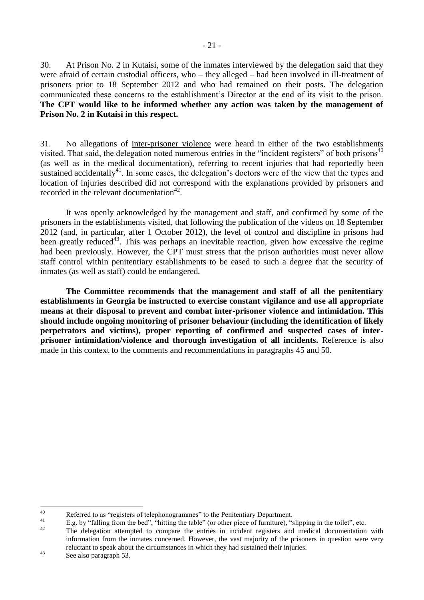30. At Prison No. 2 in Kutaisi, some of the inmates interviewed by the delegation said that they were afraid of certain custodial officers, who – they alleged – had been involved in ill-treatment of prisoners prior to 18 September 2012 and who had remained on their posts. The delegation communicated these concerns to the establishment's Director at the end of its visit to the prison. **The CPT would like to be informed whether any action was taken by the management of Prison No. 2 in Kutaisi in this respect.**

31. No allegations of inter-prisoner violence were heard in either of the two establishments visited. That said, the delegation noted numerous entries in the "incident registers" of both prisons<sup>40</sup> (as well as in the medical documentation), referring to recent injuries that had reportedly been sustained accidentally<sup>41</sup>. In some cases, the delegation's doctors were of the view that the types and location of injuries described did not correspond with the explanations provided by prisoners and recorded in the relevant documentation $42$ .

It was openly acknowledged by the management and staff, and confirmed by some of the prisoners in the establishments visited, that following the publication of the videos on 18 September 2012 (and, in particular, after 1 October 2012), the level of control and discipline in prisons had been greatly reduced<sup>43</sup>. This was perhaps an inevitable reaction, given how excessive the regime had been previously. However, the CPT must stress that the prison authorities must never allow staff control within penitentiary establishments to be eased to such a degree that the security of inmates (as well as staff) could be endangered.

<span id="page-20-0"></span>**The Committee recommends that the management and staff of all the penitentiary establishments in Georgia be instructed to exercise constant vigilance and use all appropriate means at their disposal to prevent and combat inter-prisoner violence and intimidation. This should include ongoing monitoring of prisoner behaviour (including the identification of likely perpetrators and victims), proper reporting of confirmed and suspected cases of interprisoner intimidation/violence and thorough investigation of all incidents.** Reference is also made in this context to the comments and recommendations in paragraphs 45 and 50.

 $40$ <sup>40</sup><br>Referred to as "registers of telephonogrammes" to the Penitentiary Department.

 $^{41}$  E.g. by "falling from the bed", "hitting the table" (or other piece of furniture), "slipping in the toilet", etc.

The delegation attempted to compare the entries in incident registers and medical documentation with information from the inmates concerned. However, the vast majority of the prisoners in question were very reluctant to speak about the circumstances in which they had sustained their injuries.

<sup>43</sup> See also paragraph 53.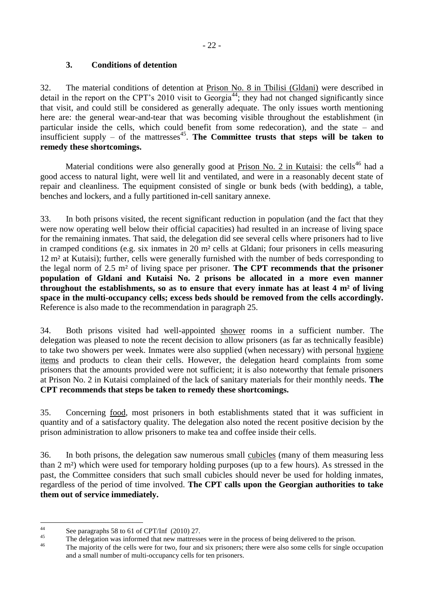## **3. Conditions of detention**

32. The material conditions of detention at Prison No. 8 in Tbilisi (Gldani) were described in detail in the report on the CPT's 2010 visit to Georgia<sup>44</sup>; they had not changed significantly since that visit, and could still be considered as generally adequate. The only issues worth mentioning here are: the general wear-and-tear that was becoming visible throughout the establishment (in particular inside the cells, which could benefit from some redecoration), and the state – and insufficient supply – of the mattresses<sup>45</sup>. The Committee trusts that steps will be taken to **remedy these shortcomings.**

Material conditions were also generally good at Prison No. 2 in Kutaisi: the cells<sup>46</sup> had a good access to natural light, were well lit and ventilated, and were in a reasonably decent state of repair and cleanliness. The equipment consisted of single or bunk beds (with bedding), a table, benches and lockers, and a fully partitioned in-cell sanitary annexe.

33. In both prisons visited, the recent significant reduction in population (and the fact that they were now operating well below their official capacities) had resulted in an increase of living space for the remaining inmates. That said, the delegation did see several cells where prisoners had to live in cramped conditions (e.g. six inmates in 20 m² cells at Gldani; four prisoners in cells measuring 12 m² at Kutaisi); further, cells were generally furnished with the number of beds corresponding to the legal norm of 2.5 m² of living space per prisoner. **The CPT recommends that the prisoner population of Gldani and Kutaisi No. 2 prisons be allocated in a more even manner throughout the establishments, so as to ensure that every inmate has at least 4 m² of living space in the multi-occupancy cells; excess beds should be removed from the cells accordingly.**  Reference is also made to the recommendation in paragraph 25.

34. Both prisons visited had well-appointed shower rooms in a sufficient number. The delegation was pleased to note the recent decision to allow prisoners (as far as technically feasible) to take two showers per week. Inmates were also supplied (when necessary) with personal hygiene items and products to clean their cells. However, the delegation heard complaints from some prisoners that the amounts provided were not sufficient; it is also noteworthy that female prisoners at Prison No. 2 in Kutaisi complained of the lack of sanitary materials for their monthly needs. **The CPT recommends that steps be taken to remedy these shortcomings.**

35. Concerning food, most prisoners in both establishments stated that it was sufficient in quantity and of a satisfactory quality. The delegation also noted the recent positive decision by the prison administration to allow prisoners to make tea and coffee inside their cells.

36. In both prisons, the delegation saw numerous small cubicles (many of them measuring less than 2 m²) which were used for temporary holding purposes (up to a few hours). As stressed in the past, the Committee considers that such small cubicles should never be used for holding inmates, regardless of the period of time involved. **The CPT calls upon the Georgian authorities to take them out of service immediately.**

 $44$ <sup>44</sup> See paragraphs 58 to 61 of CPT/Inf  $(2010)$  27.

<sup>&</sup>lt;sup>45</sup> The delegation was informed that new mattresses were in the process of being delivered to the prison.

The majority of the cells were for two, four and six prisoners; there were also some cells for single occupation and a small number of multi-occupancy cells for ten prisoners.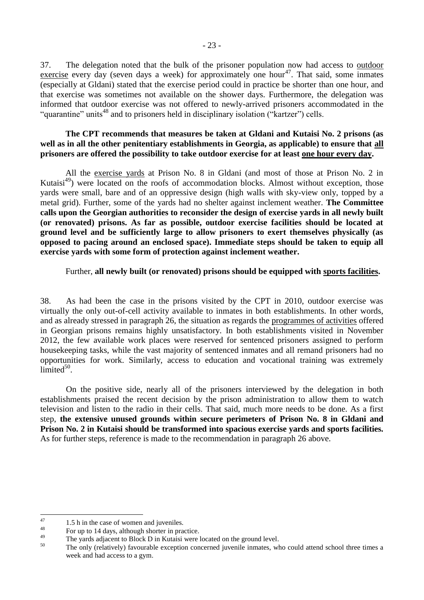37. The delegation noted that the bulk of the prisoner population now had access to outdoor exercise every day (seven days a week) for approximately one hour<sup>47</sup>. That said, some inmates (especially at Gldani) stated that the exercise period could in practice be shorter than one hour, and that exercise was sometimes not available on the shower days. Furthermore, the delegation was informed that outdoor exercise was not offered to newly-arrived prisoners accommodated in the "quarantine" units<sup>48</sup> and to prisoners held in disciplinary isolation ("kartzer") cells.

### **The CPT recommends that measures be taken at Gldani and Kutaisi No. 2 prisons (as well as in all the other penitentiary establishments in Georgia, as applicable) to ensure that all prisoners are offered the possibility to take outdoor exercise for at least one hour every day.**

All the exercise yards at Prison No. 8 in Gldani (and most of those at Prison No. 2 in Kutaisi<sup>49</sup>) were located on the roofs of accommodation blocks. Almost without exception, those yards were small, bare and of an oppressive design (high walls with sky-view only, topped by a metal grid). Further, some of the yards had no shelter against inclement weather. **The Committee calls upon the Georgian authorities to reconsider the design of exercise yards in all newly built (or renovated) prisons. As far as possible, outdoor exercise facilities should be located at ground level and be sufficiently large to allow prisoners to exert themselves physically (as opposed to pacing around an enclosed space). Immediate steps should be taken to equip all exercise yards with some form of protection against inclement weather.** 

### Further, **all newly built (or renovated) prisons should be equipped with sports facilities.**

38. As had been the case in the prisons visited by the CPT in 2010, outdoor exercise was virtually the only out-of-cell activity available to inmates in both establishments. In other words, and as already stressed in paragraph 26, the situation as regards the programmes of activities offered in Georgian prisons remains highly unsatisfactory. In both establishments visited in November 2012, the few available work places were reserved for sentenced prisoners assigned to perform housekeeping tasks, while the vast majority of sentenced inmates and all remand prisoners had no opportunities for work. Similarly, access to education and vocational training was extremely  $\lim$ ited<sup>50</sup>.

On the positive side, nearly all of the prisoners interviewed by the delegation in both establishments praised the recent decision by the prison administration to allow them to watch television and listen to the radio in their cells. That said, much more needs to be done. As a first step, **the extensive unused grounds within secure perimeters of Prison No. 8 in Gldani and Prison No. 2 in Kutaisi should be transformed into spacious exercise yards and sports facilities.**  As for further steps, reference is made to the recommendation in paragraph 26 above.

<span id="page-22-0"></span><sup>47</sup>  $^{47}$  1.5 h in the case of women and juveniles.

 $^{48}$  For up to 14 days, although shorter in practice.

<sup>&</sup>lt;sup>49</sup> The yards adjacent to Block D in Kutaisi were located on the ground level.

The only (relatively) favourable exception concerned juvenile inmates, who could attend school three times a week and had access to a gym.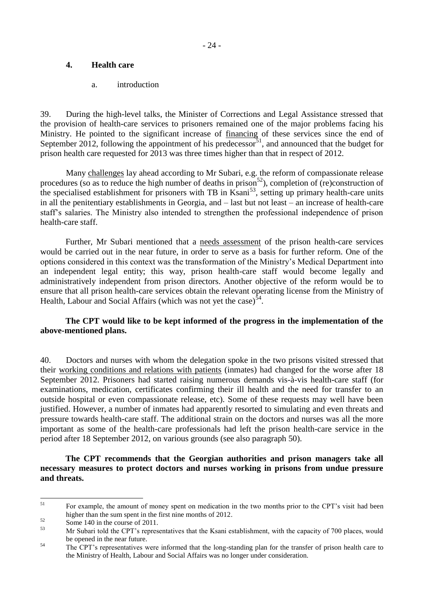## **4. Health care**

a. introduction

<span id="page-23-0"></span>39. During the high-level talks, the Minister of Corrections and Legal Assistance stressed that the provision of health-care services to prisoners remained one of the major problems facing his Ministry. He pointed to the significant increase of financing of these services since the end of September 2012, following the appointment of his predecessor<sup>51</sup>, and announced that the budget for prison health care requested for 2013 was three times higher than that in respect of 2012.

Many challenges lay ahead according to Mr Subari, e.g. the reform of compassionate release procedures (so as to reduce the high number of deaths in prison<sup>52</sup>), completion of (re)construction of the specialised establishment for prisoners with TB in Ksani<sup>53</sup>, setting up primary health-care units in all the penitentiary establishments in Georgia, and – last but not least – an increase of health-care staff's salaries. The Ministry also intended to strengthen the professional independence of prison health-care staff.

Further, Mr Subari mentioned that a needs assessment of the prison health-care services would be carried out in the near future, in order to serve as a basis for further reform. One of the options considered in this context was the transformation of the Ministry's Medical Department into an independent legal entity; this way, prison health-care staff would become legally and administratively independent from prison directors. Another objective of the reform would be to ensure that all prison health-care services obtain the relevant operating license from the Ministry of Health, Labour and Social Affairs (which was not yet the case) $54$ .

## **The CPT would like to be kept informed of the progress in the implementation of the above-mentioned plans.**

40. Doctors and nurses with whom the delegation spoke in the two prisons visited stressed that their working conditions and relations with patients (inmates) had changed for the worse after 18 September 2012. Prisoners had started raising numerous demands vis-à-vis health-care staff (for examinations, medication, certificates confirming their ill health and the need for transfer to an outside hospital or even compassionate release, etc). Some of these requests may well have been justified. However, a number of inmates had apparently resorted to simulating and even threats and pressure towards health-care staff. The additional strain on the doctors and nurses was all the more important as some of the health-care professionals had left the prison health-care service in the period after 18 September 2012, on various grounds (see also paragraph 50).

**The CPT recommends that the Georgian authorities and prison managers take all necessary measures to protect doctors and nurses working in prisons from undue pressure and threats.**

 $51$ <sup>51</sup> For example, the amount of money spent on medication in the two months prior to the CPT's visit had been higher than the sum spent in the first nine months of 2012.

 $\frac{52}{53}$  Some 140 in the course of 2011.

<sup>53</sup> Mr Subari told the CPT's representatives that the Ksani establishment, with the capacity of 700 places, would be opened in the near future.

<sup>&</sup>lt;sup>54</sup> The CPT's representatives were informed that the long-standing plan for the transfer of prison health care to the Ministry of Health, Labour and Social Affairs was no longer under consideration.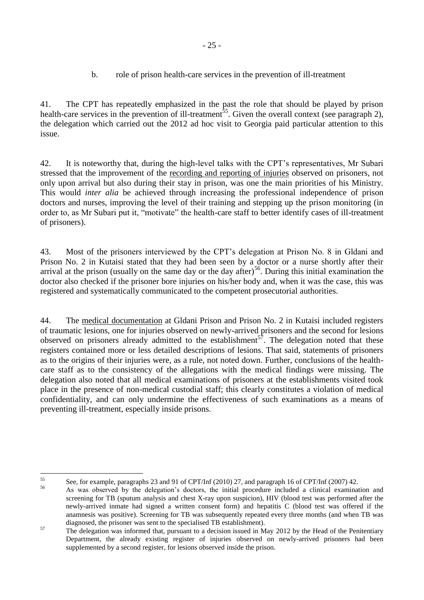## b. role of prison health-care services in the prevention of ill-treatment

<span id="page-24-0"></span>41. The CPT has repeatedly emphasized in the past the role that should be played by prison health-care services in the prevention of ill-treatment<sup>55</sup>. Given the overall context (see paragraph 2), the delegation which carried out the 2012 ad hoc visit to Georgia paid particular attention to this issue.

42. It is noteworthy that, during the high-level talks with the CPT's representatives, Mr Subari stressed that the improvement of the recording and reporting of injuries observed on prisoners, not only upon arrival but also during their stay in prison, was one the main priorities of his Ministry. This would *inter alia* be achieved through increasing the professional independence of prison doctors and nurses, improving the level of their training and stepping up the prison monitoring (in order to, as Mr Subari put it, "motivate" the health-care staff to better identify cases of ill-treatment of prisoners).

43. Most of the prisoners interviewed by the CPT's delegation at Prison No. 8 in Gldani and Prison No. 2 in Kutaisi stated that they had been seen by a doctor or a nurse shortly after their arrival at the prison (usually on the same day or the day after)<sup>56</sup>. During this initial examination the doctor also checked if the prisoner bore injuries on his/her body and, when it was the case, this was registered and systematically communicated to the competent prosecutorial authorities.

44. The medical documentation at Gldani Prison and Prison No. 2 in Kutaisi included registers of traumatic lesions, one for injuries observed on newly-arrived prisoners and the second for lesions observed on prisoners already admitted to the establishment<sup>57</sup>. The delegation noted that these registers contained more or less detailed descriptions of lesions. That said, statements of prisoners as to the origins of their injuries were, as a rule, not noted down. Further, conclusions of the healthcare staff as to the consistency of the allegations with the medical findings were missing. The delegation also noted that all medical examinations of prisoners at the establishments visited took place in the presence of non-medical custodial staff; this clearly constitutes a violation of medical confidentiality, and can only undermine the effectiveness of such examinations as a means of preventing ill-treatment, especially inside prisons.

 $55$ 55 See, for example, paragraphs 23 and 91 of CPT/Inf (2010) 27, and paragraph 16 of CPT/Inf (2007) 42.

<sup>56</sup> As was observed by the delegation's doctors, the initial procedure included a clinical examination and screening for TB (sputum analysis and chest X-ray upon suspicion), HIV (blood test was performed after the newly-arrived inmate had signed a written consent form) and hepatitis C (blood test was offered if the anamnesis was positive). Screening for TB was subsequently repeated every three months (and when TB was diagnosed, the prisoner was sent to the specialised TB establishment).

<sup>&</sup>lt;sup>57</sup> The delegation was informed that, pursuant to a decision issued in May 2012 by the Head of the Penitentiary Department, the already existing register of injuries observed on newly-arrived prisoners had been supplemented by a second register, for lesions observed inside the prison.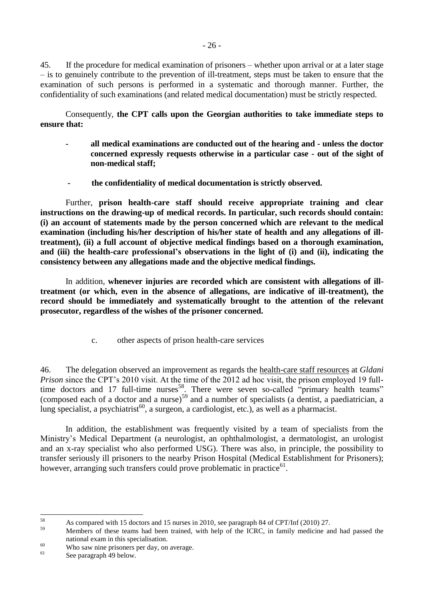45. If the procedure for medical examination of prisoners – whether upon arrival or at a later stage – is to genuinely contribute to the prevention of ill-treatment, steps must be taken to ensure that the examination of such persons is performed in a systematic and thorough manner. Further, the confidentiality of such examinations (and related medical documentation) must be strictly respected.

Consequently, **the CPT calls upon the Georgian authorities to take immediate steps to ensure that:**

- **- all medical examinations are conducted out of the hearing and - unless the doctor concerned expressly requests otherwise in a particular case - out of the sight of non-medical staff;**
- **- the confidentiality of medical documentation is strictly observed.**

Further, **prison health-care staff should receive appropriate training and clear instructions on the drawing-up of medical records. In particular, such records should contain: (i) an account of statements made by the person concerned which are relevant to the medical examination (including his/her description of his/her state of health and any allegations of illtreatment), (ii) a full account of objective medical findings based on a thorough examination, and (iii) the health-care professional's observations in the light of (i) and (ii), indicating the consistency between any allegations made and the objective medical findings.** 

In addition, **whenever injuries are recorded which are consistent with allegations of illtreatment (or which, even in the absence of allegations, are indicative of ill-treatment), the record should be immediately and systematically brought to the attention of the relevant prosecutor, regardless of the wishes of the prisoner concerned.** 

c. other aspects of prison health-care services

<span id="page-25-0"></span>46. The delegation observed an improvement as regards the health-care staff resources at *Gldani Prison* since the CPT's 2010 visit. At the time of the 2012 ad hoc visit, the prison employed 19 fulltime doctors and 17 full-time nurses<sup>58</sup>. There were seven so-called "primary health teams" (composed each of a doctor and a nurse) $59$  and a number of specialists (a dentist, a paediatrician, a lung specialist, a psychiatrist<sup>60</sup>, a surgeon, a cardiologist, etc.), as well as a pharmacist.

In addition, the establishment was frequently visited by a team of specialists from the Ministry's Medical Department (a neurologist, an ophthalmologist, a dermatologist, an urologist and an x-ray specialist who also performed USG). There was also, in principle, the possibility to transfer seriously ill prisoners to the nearby Prison Hospital (Medical Establishment for Prisoners); however, arranging such transfers could prove problematic in practice $^{61}$ .

<sup>58</sup> <sup>58</sup> As compared with 15 doctors and 15 nurses in 2010, see paragraph 84 of CPT/Inf (2010) 27.

Members of these teams had been trained, with help of the ICRC, in family medicine and had passed the national exam in this specialisation.

 $^{60}$  Who saw nine prisoners per day, on average.

See paragraph 49 below.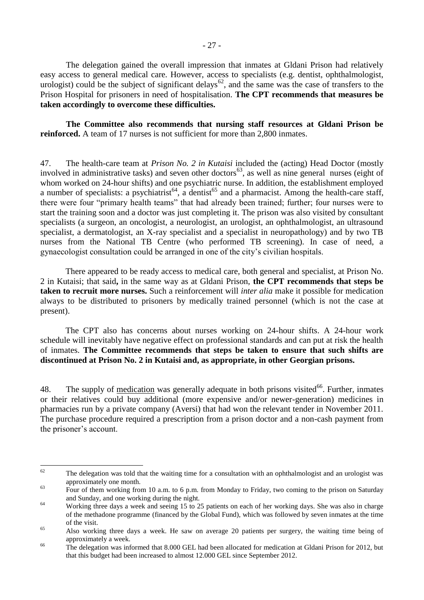The delegation gained the overall impression that inmates at Gldani Prison had relatively easy access to general medical care. However, access to specialists (e.g. dentist, ophthalmologist, urologist) could be the subject of significant delays<sup>62</sup>, and the same was the case of transfers to the Prison Hospital for prisoners in need of hospitalisation. **The CPT recommends that measures be taken accordingly to overcome these difficulties.** 

**The Committee also recommends that nursing staff resources at Gldani Prison be reinforced.** A team of 17 nurses is not sufficient for more than 2,800 inmates.

47. The health-care team at *Prison No. 2 in Kutaisi* included the (acting) Head Doctor (mostly involved in administrative tasks) and seven other doctors<sup>63</sup>, as well as nine general nurses (eight of whom worked on 24-hour shifts) and one psychiatric nurse. In addition, the establishment employed a number of specialists: a psychiatrist<sup>64</sup>, a dentist<sup>65</sup> and a pharmacist. Among the health-care staff, there were four "primary health teams" that had already been trained; further; four nurses were to start the training soon and a doctor was just completing it. The prison was also visited by consultant specialists (a surgeon, an oncologist, a neurologist, an urologist, an ophthalmologist, an ultrasound specialist, a dermatologist, an X-ray specialist and a specialist in neuropathology) and by two TB nurses from the National TB Centre (who performed TB screening). In case of need, a gynaecologist consultation could be arranged in one of the city's civilian hospitals.

There appeared to be ready access to medical care, both general and specialist, at Prison No. 2 in Kutaisi; that said**,** in the same way as at Gldani Prison, **the CPT recommends that steps be taken to recruit more nurses.** Such a reinforcement will *inter alia* make it possible for medication always to be distributed to prisoners by medically trained personnel (which is not the case at present).

The CPT also has concerns about nurses working on 24-hour shifts. A 24-hour work schedule will inevitably have negative effect on professional standards and can put at risk the health of inmates. **The Committee recommends that steps be taken to ensure that such shifts are discontinued at Prison No. 2 in Kutaisi and, as appropriate, in other Georgian prisons.**

48. The supply of medication was generally adequate in both prisons visited<sup>66</sup>. Further, inmates or their relatives could buy additional (more expensive and/or newer-generation) medicines in pharmacies run by a private company (Aversi) that had won the relevant tender in November 2011. The purchase procedure required a prescription from a prison doctor and a non-cash payment from the prisoner's account.

<sup>62</sup> The delegation was told that the waiting time for a consultation with an ophthalmologist and an urologist was approximately one month.

<sup>&</sup>lt;sup>63</sup> Four of them working from 10 a.m. to 6 p.m. from Monday to Friday, two coming to the prison on Saturday and Sunday, and one working during the night.

<sup>&</sup>lt;sup>64</sup> Working three days a week and seeing 15 to 25 patients on each of her working days. She was also in charge of the methadone programme (financed by the Global Fund), which was followed by seven inmates at the time of the visit.

<sup>65</sup> Also working three days a week. He saw on average 20 patients per surgery, the waiting time being of approximately a week.

<sup>&</sup>lt;sup>66</sup> The delegation was informed that 8.000 GEL had been allocated for medication at Gldani Prison for 2012, but that this budget had been increased to almost 12.000 GEL since September 2012.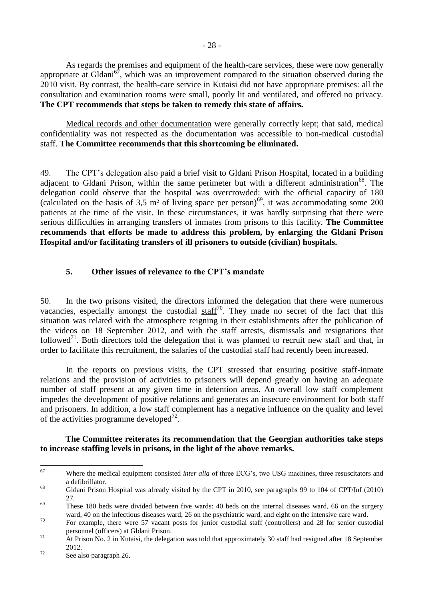As regards the premises and equipment of the health-care services, these were now generally appropriate at Gldani<sup>67</sup>, which was an improvement compared to the situation observed during the 2010 visit. By contrast, the health-care service in Kutaisi did not have appropriate premises: all the consultation and examination rooms were small, poorly lit and ventilated, and offered no privacy. **The CPT recommends that steps be taken to remedy this state of affairs.** 

Medical records and other documentation were generally correctly kept; that said, medical confidentiality was not respected as the documentation was accessible to non-medical custodial staff. **The Committee recommends that this shortcoming be eliminated.** 

49. The CPT's delegation also paid a brief visit to Gldani Prison Hospital, located in a building adjacent to Gldani Prison, within the same perimeter but with a different administration<sup>68</sup>. The delegation could observe that the hospital was overcrowded: with the official capacity of 180 (calculated on the basis of  $3.5 \text{ m}^2$  of living space per person)<sup>69</sup>, it was accommodating some 200 patients at the time of the visit. In these circumstances, it was hardly surprising that there were serious difficulties in arranging transfers of inmates from prisons to this facility. **The Committee recommends that efforts be made to address this problem, by enlarging the Gldani Prison Hospital and/or facilitating transfers of ill prisoners to outside (civilian) hospitals.**

### <span id="page-27-0"></span>**5. Other issues of relevance to the CPT's mandate**

50. In the two prisons visited, the directors informed the delegation that there were numerous vacancies, especially amongst the custodial  $\frac{\text{staff}^{70}}{2}$ . They made no secret of the fact that this situation was related with the atmosphere reigning in their establishments after the publication of the videos on 18 September 2012, and with the staff arrests, dismissals and resignations that followed<sup>71</sup>. Both directors told the delegation that it was planned to recruit new staff and that, in order to facilitate this recruitment, the salaries of the custodial staff had recently been increased.

In the reports on previous visits, the CPT stressed that ensuring positive staff-inmate relations and the provision of activities to prisoners will depend greatly on having an adequate number of staff present at any given time in detention areas. An overall low staff complement impedes the development of positive relations and generates an insecure environment for both staff and prisoners. In addition, a low staff complement has a negative influence on the quality and level of the activities programme developed $^{72}$ .

### **The Committee reiterates its recommendation that the Georgian authorities take steps to increase staffing levels in prisons, in the light of the above remarks.**

<sup>67</sup> <sup>67</sup> Where the medical equipment consisted *inter alia* of three ECG's, two USG machines, three resuscitators and a defibrillator.

<sup>68</sup> Gldani Prison Hospital was already visited by the CPT in 2010, see paragraphs 99 to 104 of CPT/Inf (2010) 27.

 $\frac{69}{100}$  These 180 beds were divided between five wards: 40 beds on the internal diseases ward, 66 on the surgery ward, 40 on the infectious diseases ward, 26 on the psychiatric ward, and eight on the intensive care ward.

<sup>&</sup>lt;sup>70</sup> For example, there were 57 vacant posts for junior custodial staff (controllers) and 28 for senior custodial personnel (officers) at Gldani Prison.

<sup>&</sup>lt;sup>71</sup> At Prison No. 2 in Kutaisi, the delegation was told that approximately 30 staff had resigned after 18 September 2012.

 $72$  See also paragraph 26.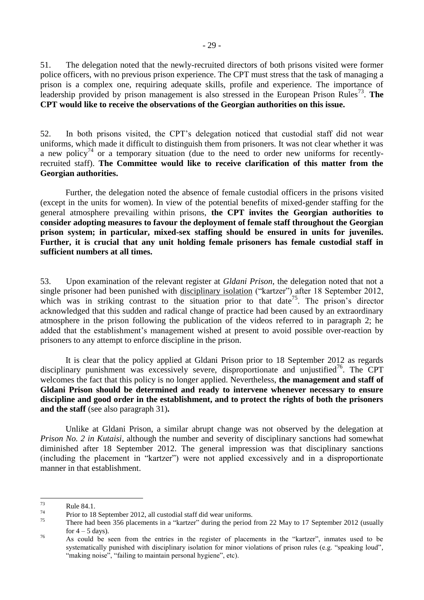51. The delegation noted that the newly-recruited directors of both prisons visited were former police officers, with no previous prison experience. The CPT must stress that the task of managing a prison is a complex one, requiring adequate skills, profile and experience. The importance of leadership provided by prison management is also stressed in the European Prison Rules<sup>73</sup>. The **CPT would like to receive the observations of the Georgian authorities on this issue.** 

52. In both prisons visited, the CPT's delegation noticed that custodial staff did not wear uniforms, which made it difficult to distinguish them from prisoners. It was not clear whether it was a new policy<sup>74</sup> or a temporary situation (due to the need to order new uniforms for recentlyrecruited staff). **The Committee would like to receive clarification of this matter from the Georgian authorities.**

Further, the delegation noted the absence of female custodial officers in the prisons visited (except in the units for women). In view of the potential benefits of mixed-gender staffing for the general atmosphere prevailing within prisons, **the CPT invites the Georgian authorities to consider adopting measures to favour the deployment of female staff throughout the Georgian prison system; in particular, mixed-sex staffing should be ensured in units for juveniles. Further, it is crucial that any unit holding female prisoners has female custodial staff in sufficient numbers at all times.**

53. Upon examination of the relevant register at *Gldani Prison*, the delegation noted that not a single prisoner had been punished with disciplinary isolation ("kartzer") after 18 September 2012, which was in striking contrast to the situation prior to that date<sup>75</sup>. The prison's director acknowledged that this sudden and radical change of practice had been caused by an extraordinary atmosphere in the prison following the publication of the videos referred to in paragraph 2; he added that the establishment's management wished at present to avoid possible over-reaction by prisoners to any attempt to enforce discipline in the prison.

It is clear that the policy applied at Gldani Prison prior to 18 September 2012 as regards disciplinary punishment was excessively severe, disproportionate and unjustified<sup>76</sup>. The CPT welcomes the fact that this policy is no longer applied. Nevertheless, **the management and staff of Gldani Prison should be determined and ready to intervene whenever necessary to ensure discipline and good order in the establishment, and to protect the rights of both the prisoners and the staff** (see also paragraph 31)**.**

Unlike at Gldani Prison, a similar abrupt change was not observed by the delegation at *Prison No. 2 in Kutaisi*, although the number and severity of disciplinary sanctions had somewhat diminished after 18 September 2012. The general impression was that disciplinary sanctions (including the placement in "kartzer") were not applied excessively and in a disproportionate manner in that establishment.

<sup>73</sup>  $\frac{73}{74}$  Rule 84.1.

 $\frac{74}{75}$  Prior to 18 September 2012, all custodial staff did wear uniforms.

There had been 356 placements in a "kartzer" during the period from 22 May to 17 September 2012 (usually for  $4 - 5$  days).

<sup>76</sup> As could be seen from the entries in the register of placements in the "kartzer", inmates used to be systematically punished with disciplinary isolation for minor violations of prison rules (e.g. "speaking loud", "making noise", "failing to maintain personal hygiene", etc).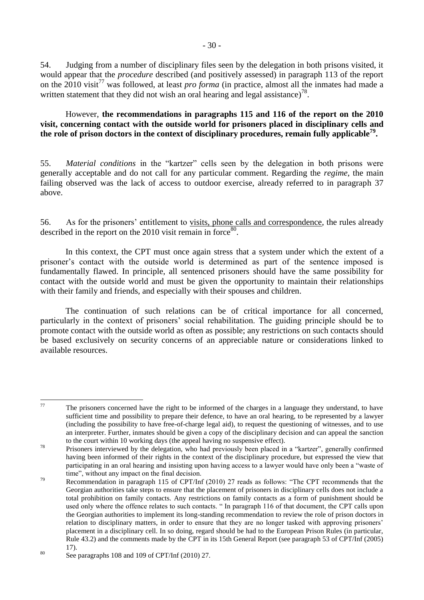54. Judging from a number of disciplinary files seen by the delegation in both prisons visited, it would appear that the *procedure* described (and positively assessed) in paragraph 113 of the report on the 2010 visit<sup>77</sup> was followed, at least *pro forma* (in practice, almost all the inmates had made a written statement that they did not wish an oral hearing and legal assistance)<sup>78</sup>.

### However, **the recommendations in paragraphs 115 and 116 of the report on the 2010 visit, concerning contact with the outside world for prisoners placed in disciplinary cells and the role of prison doctors in the context of disciplinary procedures, remain fully applicable<sup>79</sup> .**

55. *Material conditions* in the "kartzer" cells seen by the delegation in both prisons were generally acceptable and do not call for any particular comment. Regarding the *regime*, the main failing observed was the lack of access to outdoor exercise, already referred to in paragraph 37 above.

56. As for the prisoners' entitlement to visits, phone calls and correspondence, the rules already described in the report on the 2010 visit remain in force  $80$ .

In this context, the CPT must once again stress that a system under which the extent of a prisoner's contact with the outside world is determined as part of the sentence imposed is fundamentally flawed. In principle, all sentenced prisoners should have the same possibility for contact with the outside world and must be given the opportunity to maintain their relationships with their family and friends, and especially with their spouses and children.

The continuation of such relations can be of critical importance for all concerned, particularly in the context of prisoners' social rehabilitation. The guiding principle should be to promote contact with the outside world as often as possible; any restrictions on such contacts should be based exclusively on security concerns of an appreciable nature or considerations linked to available resources.

<sup>77</sup> The prisoners concerned have the right to be informed of the charges in a language they understand, to have sufficient time and possibility to prepare their defence, to have an oral hearing, to be represented by a lawyer (including the possibility to have free-of-charge legal aid), to request the questioning of witnesses, and to use an interpreter. Further, inmates should be given a copy of the disciplinary decision and can appeal the sanction to the court within 10 working days (the appeal having no suspensive effect).

<sup>&</sup>lt;sup>78</sup> Prisoners interviewed by the delegation, who had previously been placed in a "kartzer", generally confirmed having been informed of their rights in the context of the disciplinary procedure, but expressed the view that participating in an oral hearing and insisting upon having access to a lawyer would have only been a "waste of time", without any impact on the final decision.

<sup>&</sup>lt;sup>79</sup> Recommendation in paragraph 115 of CPT/Inf (2010) 27 reads as follows: "The CPT recommends that the Georgian authorities take steps to ensure that the placement of prisoners in disciplinary cells does not include a total prohibition on family contacts. Any restrictions on family contacts as a form of punishment should be used only where the offence relates to such contacts. " In paragraph 116 of that document, the CPT calls upon the Georgian authorities to implement its long-standing recommendation to review the role of prison doctors in relation to disciplinary matters, in order to ensure that they are no longer tasked with approving prisoners' placement in a disciplinary cell. In so doing, regard should be had to the European Prison Rules (in particular, Rule 43.2) and the comments made by the CPT in its 15th General Report (see paragraph 53 of CPT/Inf (2005) 17).

 $80$  See paragraphs 108 and 109 of CPT/Inf (2010) 27.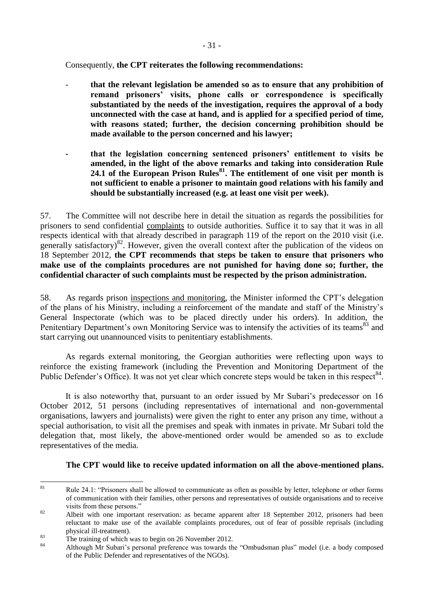Consequently, **the CPT reiterates the following recommendations:**

- **that the relevant legislation be amended so as to ensure that any prohibition of remand prisoners' visits, phone calls or correspondence is specifically substantiated by the needs of the investigation, requires the approval of a body unconnected with the case at hand, and is applied for a specified period of time, with reasons stated; further, the decision concerning prohibition should be made available to the person concerned and his lawyer;** 
	- **- that the legislation concerning sentenced prisoners' entitlement to visits be amended, in the light of the above remarks and taking into consideration Rule 24.1 of the European Prison Rules<sup>81</sup>. The entitlement of one visit per month is not sufficient to enable a prisoner to maintain good relations with his family and should be substantially increased (e.g. at least one visit per week).**

57. The Committee will not describe here in detail the situation as regards the possibilities for prisoners to send confidential complaints to outside authorities. Suffice it to say that it was in all respects identical with that already described in paragraph 119 of the report on the 2010 visit (i.e. generally satisfactory)<sup>82</sup>. However, given the overall context after the publication of the videos on 18 September 2012, **the CPT recommends that steps be taken to ensure that prisoners who make use of the complaints procedures are not punished for having done so; further, the confidential character of such complaints must be respected by the prison administration.**

58. As regards prison inspections and monitoring, the Minister informed the CPT's delegation of the plans of his Ministry, including a reinforcement of the mandate and staff of the Ministry's General Inspectorate (which was to be placed directly under his orders). In addition, the Penitentiary Department's own Monitoring Service was to intensify the activities of its teams<sup>83</sup> and start carrying out unannounced visits to penitentiary establishments.

As regards external monitoring, the Georgian authorities were reflecting upon ways to reinforce the existing framework (including the Prevention and Monitoring Department of the Public Defender's Office). It was not yet clear which concrete steps would be taken in this respect<sup>84</sup>.

It is also noteworthy that, pursuant to an order issued by Mr Subari's predecessor on 16 October 2012, 51 persons (including representatives of international and non-governmental organisations, lawyers and journalists) were given the right to enter any prison any time, without a special authorisation, to visit all the premises and speak with inmates in private. Mr Subari told the delegation that, most likely, the above-mentioned order would be amended so as to exclude representatives of the media.

## **The CPT would like to receive updated information on all the above-mentioned plans.**

 $81$ Rule 24.1: "Prisoners shall be allowed to communicate as often as possible by letter, telephone or other forms of communication with their families, other persons and representatives of outside organisations and to receive visits from these persons."

<sup>82</sup> Albeit with one important reservation: as became apparent after 18 September 2012, prisoners had been reluctant to make use of the available complaints procedures, out of fear of possible reprisals (including physical ill-treatment).

 $\frac{83}{24}$  The training of which was to begin on 26 November 2012.

Although Mr Subari's personal preference was towards the "Ombudsman plus" model (i.e. a body composed of the Public Defender and representatives of the NGOs).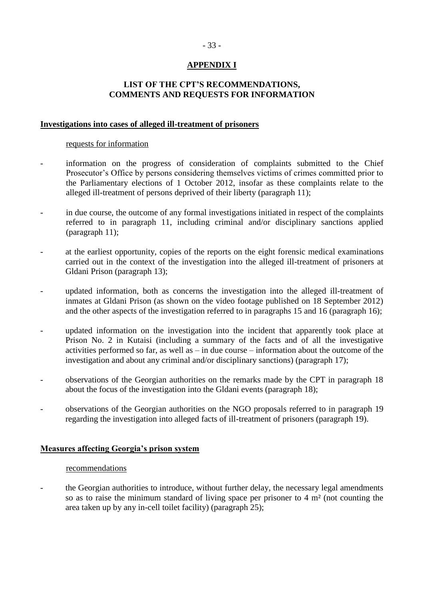## **APPENDIX I**

## **LIST OF THE CPT'S RECOMMENDATIONS, COMMENTS AND REQUESTS FOR INFORMATION**

### <span id="page-32-0"></span>**Investigations into cases of alleged ill-treatment of prisoners**

#### requests for information

- information on the progress of consideration of complaints submitted to the Chief Prosecutor's Office by persons considering themselves victims of crimes committed prior to the Parliamentary elections of 1 October 2012, insofar as these complaints relate to the alleged ill-treatment of persons deprived of their liberty (paragraph 11);
- in due course, the outcome of any formal investigations initiated in respect of the complaints referred to in paragraph 11, including criminal and/or disciplinary sanctions applied (paragraph 11);
- at the earliest opportunity, copies of the reports on the eight forensic medical examinations carried out in the context of the investigation into the alleged ill-treatment of prisoners at Gldani Prison (paragraph 13);
- updated information, both as concerns the investigation into the alleged ill-treatment of inmates at Gldani Prison (as shown on the video footage published on 18 September 2012) and the other aspects of the investigation referred to in paragraphs 15 and 16 (paragraph 16);
- updated information on the investigation into the incident that apparently took place at Prison No. 2 in Kutaisi (including a summary of the facts and of all the investigative activities performed so far, as well as – in due course – information about the outcome of the investigation and about any criminal and/or disciplinary sanctions) (paragraph 17);
- observations of the Georgian authorities on the remarks made by the CPT in paragraph 18 about the focus of the investigation into the Gldani events (paragraph 18);
- observations of the Georgian authorities on the NGO proposals referred to in paragraph 19 regarding the investigation into alleged facts of ill-treatment of prisoners (paragraph 19).

### **Measures affecting Georgia's prison system**

#### recommendations

the Georgian authorities to introduce, without further delay, the necessary legal amendments so as to raise the minimum standard of living space per prisoner to 4 m² (not counting the area taken up by any in-cell toilet facility) (paragraph 25);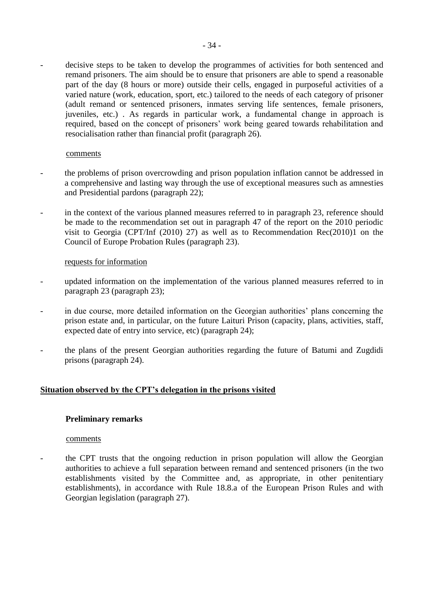decisive steps to be taken to develop the programmes of activities for both sentenced and remand prisoners. The aim should be to ensure that prisoners are able to spend a reasonable part of the day (8 hours or more) outside their cells, engaged in purposeful activities of a varied nature (work, education, sport, etc.) tailored to the needs of each category of prisoner (adult remand or sentenced prisoners, inmates serving life sentences, female prisoners, juveniles, etc.) . As regards in particular work, a fundamental change in approach is required, based on the concept of prisoners' work being geared towards rehabilitation and resocialisation rather than financial profit (paragraph 26).

#### comments

- the problems of prison overcrowding and prison population inflation cannot be addressed in a comprehensive and lasting way through the use of exceptional measures such as amnesties and Presidential pardons (paragraph 22);
- in the context of the various planned measures referred to in paragraph 23, reference should be made to the recommendation set out in paragraph 47 of the report on the 2010 periodic visit to Georgia (CPT/Inf (2010) 27) as well as to Recommendation Rec(2010)1 on the Council of Europe Probation Rules (paragraph 23).

### requests for information

- updated information on the implementation of the various planned measures referred to in paragraph 23 (paragraph 23);
- in due course, more detailed information on the Georgian authorities' plans concerning the prison estate and, in particular, on the future Laituri Prison (capacity, plans, activities, staff, expected date of entry into service, etc) (paragraph 24);
- the plans of the present Georgian authorities regarding the future of Batumi and Zugdidi prisons (paragraph 24).

### **Situation observed by the CPT's delegation in the prisons visited**

### **Preliminary remarks**

#### comments

the CPT trusts that the ongoing reduction in prison population will allow the Georgian authorities to achieve a full separation between remand and sentenced prisoners (in the two establishments visited by the Committee and, as appropriate, in other penitentiary establishments), in accordance with Rule 18.8.a of the European Prison Rules and with Georgian legislation (paragraph 27).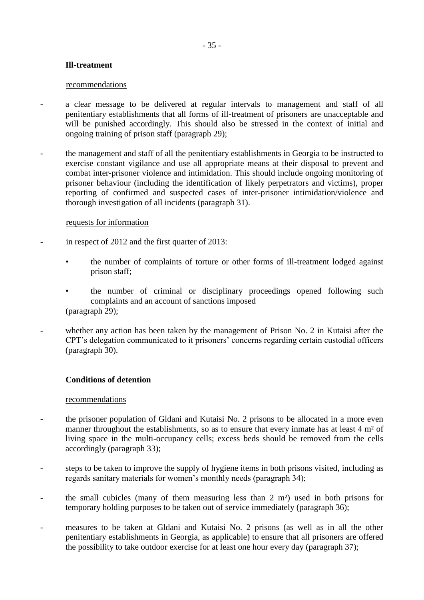## **Ill-treatment**

#### recommendations

- a clear message to be delivered at regular intervals to management and staff of all penitentiary establishments that all forms of ill-treatment of prisoners are unacceptable and will be punished accordingly. This should also be stressed in the context of initial and ongoing training of prison staff (paragraph 29);
- the management and staff of all the penitentiary establishments in Georgia to be instructed to exercise constant vigilance and use all appropriate means at their disposal to prevent and combat inter-prisoner violence and intimidation. This should include ongoing monitoring of prisoner behaviour (including the identification of likely perpetrators and victims), proper reporting of confirmed and suspected cases of inter-prisoner intimidation/violence and thorough investigation of all incidents (paragraph 31).

### requests for information

- in respect of 2012 and the first quarter of 2013:
	- the number of complaints of torture or other forms of ill-treatment lodged against prison staff;
	- the number of criminal or disciplinary proceedings opened following such complaints and an account of sanctions imposed (paragraph 29);
- whether any action has been taken by the management of Prison No. 2 in Kutaisi after the CPT's delegation communicated to it prisoners' concerns regarding certain custodial officers (paragraph 30).

## **Conditions of detention**

### recommendations

- the prisoner population of Gldani and Kutaisi No. 2 prisons to be allocated in a more even manner throughout the establishments, so as to ensure that every inmate has at least 4 m<sup>2</sup> of living space in the multi-occupancy cells; excess beds should be removed from the cells accordingly (paragraph 33);
- steps to be taken to improve the supply of hygiene items in both prisons visited, including as regards sanitary materials for women's monthly needs (paragraph 34);
- the small cubicles (many of them measuring less than  $2 \text{ m}^2$ ) used in both prisons for temporary holding purposes to be taken out of service immediately (paragraph 36);
- measures to be taken at Gldani and Kutaisi No. 2 prisons (as well as in all the other penitentiary establishments in Georgia, as applicable) to ensure that all prisoners are offered the possibility to take outdoor exercise for at least one hour every day (paragraph 37);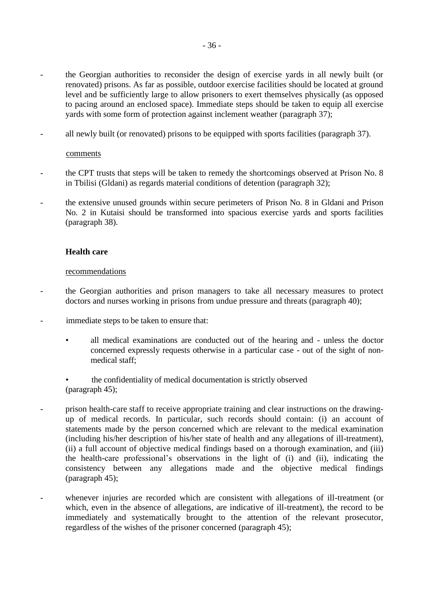- the Georgian authorities to reconsider the design of exercise yards in all newly built (or renovated) prisons. As far as possible, outdoor exercise facilities should be located at ground level and be sufficiently large to allow prisoners to exert themselves physically (as opposed to pacing around an enclosed space). Immediate steps should be taken to equip all exercise yards with some form of protection against inclement weather (paragraph 37);
- all newly built (or renovated) prisons to be equipped with sports facilities (paragraph 37).

### comments

- the CPT trusts that steps will be taken to remedy the shortcomings observed at Prison No. 8 in Tbilisi (Gldani) as regards material conditions of detention (paragraph 32);
- the extensive unused grounds within secure perimeters of Prison No. 8 in Gldani and Prison No. 2 in Kutaisi should be transformed into spacious exercise yards and sports facilities (paragraph 38).

### **Health care**

#### recommendations

- the Georgian authorities and prison managers to take all necessary measures to protect doctors and nurses working in prisons from undue pressure and threats (paragraph 40);
- immediate steps to be taken to ensure that:
	- all medical examinations are conducted out of the hearing and unless the doctor concerned expressly requests otherwise in a particular case - out of the sight of nonmedical staff;
	- the confidentiality of medical documentation is strictly observed (paragraph 45);
- prison health-care staff to receive appropriate training and clear instructions on the drawingup of medical records. In particular, such records should contain: (i) an account of statements made by the person concerned which are relevant to the medical examination (including his/her description of his/her state of health and any allegations of ill-treatment), (ii) a full account of objective medical findings based on a thorough examination, and (iii) the health-care professional's observations in the light of (i) and (ii), indicating the consistency between any allegations made and the objective medical findings (paragraph 45);
- whenever injuries are recorded which are consistent with allegations of ill-treatment (or which, even in the absence of allegations, are indicative of ill-treatment), the record to be immediately and systematically brought to the attention of the relevant prosecutor, regardless of the wishes of the prisoner concerned (paragraph 45);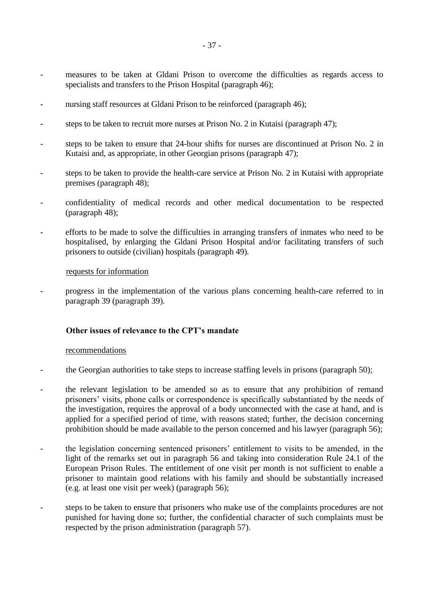- measures to be taken at Gldani Prison to overcome the difficulties as regards access to specialists and transfers to the Prison Hospital (paragraph 46);
- nursing staff resources at Gldani Prison to be reinforced (paragraph 46);
- steps to be taken to recruit more nurses at Prison No. 2 in Kutaisi (paragraph 47);
- steps to be taken to ensure that 24-hour shifts for nurses are discontinued at Prison No. 2 in Kutaisi and, as appropriate, in other Georgian prisons (paragraph 47);
- steps to be taken to provide the health-care service at Prison No. 2 in Kutaisi with appropriate premises (paragraph 48);
- confidentiality of medical records and other medical documentation to be respected (paragraph 48);
- efforts to be made to solve the difficulties in arranging transfers of inmates who need to be hospitalised, by enlarging the Gldani Prison Hospital and/or facilitating transfers of such prisoners to outside (civilian) hospitals (paragraph 49).

#### requests for information

- progress in the implementation of the various plans concerning health-care referred to in paragraph 39 (paragraph 39).

### **Other issues of relevance to the CPT's mandate**

#### recommendations

- the Georgian authorities to take steps to increase staffing levels in prisons (paragraph 50);
- the relevant legislation to be amended so as to ensure that any prohibition of remand prisoners' visits, phone calls or correspondence is specifically substantiated by the needs of the investigation, requires the approval of a body unconnected with the case at hand, and is applied for a specified period of time, with reasons stated; further, the decision concerning prohibition should be made available to the person concerned and his lawyer (paragraph 56);
- the legislation concerning sentenced prisoners' entitlement to visits to be amended, in the light of the remarks set out in paragraph 56 and taking into consideration Rule 24.1 of the European Prison Rules. The entitlement of one visit per month is not sufficient to enable a prisoner to maintain good relations with his family and should be substantially increased (e.g. at least one visit per week) (paragraph 56);
- steps to be taken to ensure that prisoners who make use of the complaints procedures are not punished for having done so; further, the confidential character of such complaints must be respected by the prison administration (paragraph 57).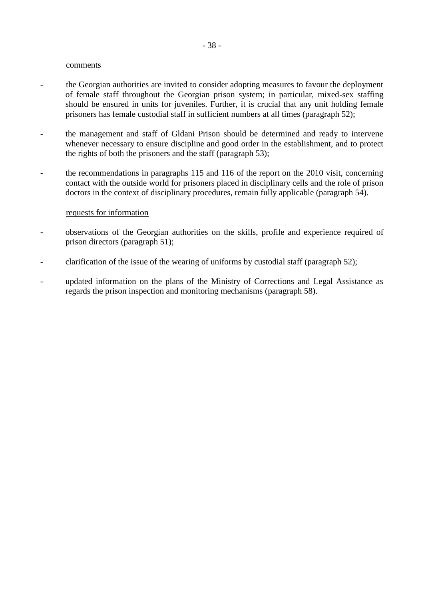#### comments

- the Georgian authorities are invited to consider adopting measures to favour the deployment of female staff throughout the Georgian prison system; in particular, mixed-sex staffing should be ensured in units for juveniles. Further, it is crucial that any unit holding female prisoners has female custodial staff in sufficient numbers at all times (paragraph 52);
- the management and staff of Gldani Prison should be determined and ready to intervene whenever necessary to ensure discipline and good order in the establishment, and to protect the rights of both the prisoners and the staff (paragraph 53);
- the recommendations in paragraphs 115 and 116 of the report on the 2010 visit, concerning contact with the outside world for prisoners placed in disciplinary cells and the role of prison doctors in the context of disciplinary procedures, remain fully applicable (paragraph 54).

#### requests for information

- observations of the Georgian authorities on the skills, profile and experience required of prison directors (paragraph 51);
- clarification of the issue of the wearing of uniforms by custodial staff (paragraph 52);
- updated information on the plans of the Ministry of Corrections and Legal Assistance as regards the prison inspection and monitoring mechanisms (paragraph 58).